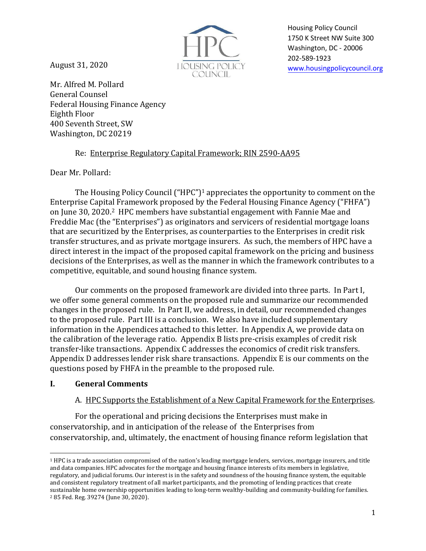August 31, 2020



Housing Policy Council 1750 K Street NW Suite 300 Washington, DC - [20006](http://www.housingpolicycouncil.org/)  202-589-1923 www.housingpolicycouncil.org

Mr. Alfred M. Pollard General Counsel Federal Housing Finance Agency Eighth Floor 400 Seventh Street, SW Washington, DC 20219

# Re: Enterprise Regulatory Capital Framework; RIN 2590-AA95

Dear Mr. Pollard:

The Housing Policy Council ("HPC") <sup>1</sup> appreciates the opportunity to comment on the Enterprise Capital Framework proposed by the Federal Housing Finance Agency ("FHFA") on June 30, 2020.<sup>2</sup> HPC members have substantial engagement with Fannie Mae and Freddie Mac (the "Enterprises") as originators and servicers of residential mortgage loans that are securitized by the Enterprises, as counterparties to the Enterprises in credit risk transfer structures, and as private mortgage insurers. As such, the members of HPC have a direct interest in the impact of the proposed capital framework on the pricing and business decisions of the Enterprises, as well as the manner in which the framework contributes to a competitive, equitable, and sound housing finance system.

Our comments on the proposed framework are divided into three parts. In Part I, we offer some general comments on the proposed rule and summarize our recommended changes in the proposed rule. In Part II, we address, in detail, our recommended changes to the proposed rule. Part III is a conclusion. We also have included supplementary information in the Appendices attached to this letter. In Appendix A, we provide data on the calibration of the leverage ratio. Appendix B lists pre-crisis examples of credit risk transfer-like transactions. Appendix C addresses the economics of credit risk transfers. Appendix D addresses lender risk share transactions. Appendix E is our comments on the questions posed by FHFA in the preamble to the proposed rule.

# **I. General Comments**

# A. HPC Supports the Establishment of a New Capital Framework for the Enterprises.

For the operational and pricing decisions the Enterprises must make in conservatorship, and in anticipation of the release of the Enterprises from conservatorship, and, ultimately, the enactment of housing finance reform legislation that

<sup>1</sup> HPC is a trade association compromised of the nation's leading mortgage lenders, services, mortgage insurers, and title and data companies. HPC advocates for the mortgage and housing finance interests of its members in legislative, regulatory, and judicial forums. Our interest is in the safety and soundness of the housing finance system, the equitable and consistent regulatory treatment of all market participants, and the promoting of lending practices that create sustainable home ownership opportunities leading to long-term wealthy-building and community-building for families. <sup>2</sup> 85 Fed. Reg. 39274 (June 30, 2020).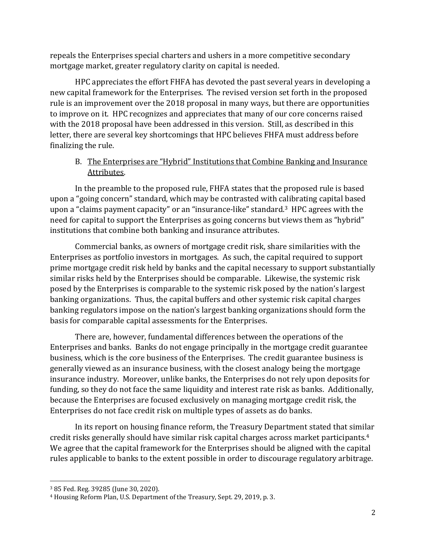repeals the Enterprises special charters and ushers in a more competitive secondary mortgage market, greater regulatory clarity on capital is needed.

HPC appreciates the effort FHFA has devoted the past several years in developing a new capital framework for the Enterprises. The revised version set forth in the proposed rule is an improvement over the 2018 proposal in many ways, but there are opportunities to improve on it. HPC recognizes and appreciates that many of our core concerns raised with the 2018 proposal have been addressed in this version. Still, as described in this letter, there are several key shortcomings that HPC believes FHFA must address before finalizing the rule.

# B. The Enterprises are "Hybrid" Institutions that Combine Banking and Insurance Attributes.

In the preamble to the proposed rule, FHFA states that the proposed rule is based upon a "going concern" standard, which may be contrasted with calibrating capital based upon a "claims payment capacity" or an "insurance-like" standard.<sup>3</sup> HPC agrees with the need for capital to support the Enterprises as going concerns but views them as "hybrid" institutions that combine both banking and insurance attributes.

Commercial banks, as owners of mortgage credit risk, share similarities with the Enterprises as portfolio investors in mortgages. As such, the capital required to support prime mortgage credit risk held by banks and the capital necessary to support substantially similar risks held by the Enterprises should be comparable. Likewise, the systemic risk posed by the Enterprises is comparable to the systemic risk posed by the nation's largest banking organizations. Thus, the capital buffers and other systemic risk capital charges banking regulators impose on the nation's largest banking organizations should form the basis for comparable capital assessments for the Enterprises.

There are, however, fundamental differences between the operations of the Enterprises and banks. Banks do not engage principally in the mortgage credit guarantee business, which is the core business of the Enterprises. The credit guarantee business is generally viewed as an insurance business, with the closest analogy being the mortgage insurance industry. Moreover, unlike banks, the Enterprises do not rely upon deposits for funding, so they do not face the same liquidity and interest rate risk as banks. Additionally, because the Enterprises are focused exclusively on managing mortgage credit risk, the Enterprises do not face credit risk on multiple types of assets as do banks.

In its report on housing finance reform, the Treasury Department stated that similar credit risks generally should have similar risk capital charges across market participants.<sup>4</sup> We agree that the capital framework for the Enterprises should be aligned with the capital rules applicable to banks to the extent possible in order to discourage regulatory arbitrage.

<sup>3</sup> 85 Fed. Reg. 39285 (June 30, 2020).

<sup>4</sup> Housing Reform Plan, U.S. Department of the Treasury, Sept. 29, 2019, p. 3.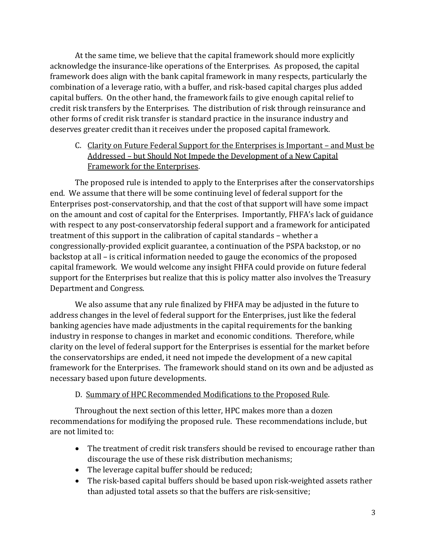At the same time, we believe that the capital framework should more explicitly acknowledge the insurance-like operations of the Enterprises. As proposed, the capital framework does align with the bank capital framework in many respects, particularly the combination of a leverage ratio, with a buffer, and risk-based capital charges plus added capital buffers. On the other hand, the framework fails to give enough capital relief to credit risk transfers by the Enterprises. The distribution of risk through reinsurance and other forms of credit risk transfer is standard practice in the insurance industry and deserves greater credit than it receives under the proposed capital framework.

C. Clarity on Future Federal Support for the Enterprises is Important – and Must be Addressed – but Should Not Impede the Development of a New Capital Framework for the Enterprises.

The proposed rule is intended to apply to the Enterprises after the conservatorships end. We assume that there will be some continuing level of federal support for the Enterprises post-conservatorship, and that the cost of that support will have some impact on the amount and cost of capital for the Enterprises. Importantly, FHFA's lack of guidance with respect to any post-conservatorship federal support and a framework for anticipated treatment of this support in the calibration of capital standards – whether a congressionally-provided explicit guarantee, a continuation of the PSPA backstop, or no backstop at all – is critical information needed to gauge the economics of the proposed capital framework. We would welcome any insight FHFA could provide on future federal support for the Enterprises but realize that this is policy matter also involves the Treasury Department and Congress.

We also assume that any rule finalized by FHFA may be adjusted in the future to address changes in the level of federal support for the Enterprises, just like the federal banking agencies have made adjustments in the capital requirements for the banking industry in response to changes in market and economic conditions. Therefore, while clarity on the level of federal support for the Enterprises is essential for the market before the conservatorships are ended, it need not impede the development of a new capital framework for the Enterprises. The framework should stand on its own and be adjusted as necessary based upon future developments.

#### D. Summary of HPC Recommended Modifications to the Proposed Rule.

Throughout the next section of this letter, HPC makes more than a dozen recommendations for modifying the proposed rule. These recommendations include, but are not limited to:

- The treatment of credit risk transfers should be revised to encourage rather than discourage the use of these risk distribution mechanisms;
- The leverage capital buffer should be reduced;
- The risk-based capital buffers should be based upon risk-weighted assets rather than adjusted total assets so that the buffers are risk-sensitive;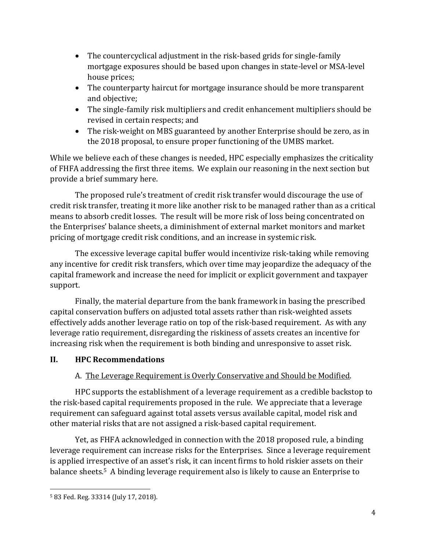- The countercyclical adjustment in the risk-based grids for single-family mortgage exposures should be based upon changes in state-level or MSA-level house prices;
- The counterparty haircut for mortgage insurance should be more transparent and objective;
- The single-family risk multipliers and credit enhancement multipliers should be revised in certain respects; and
- The risk-weight on MBS guaranteed by another Enterprise should be zero, as in the 2018 proposal, to ensure proper functioning of the UMBS market.

While we believe each of these changes is needed, HPC especially emphasizes the criticality of FHFA addressing the first three items. We explain our reasoning in the next section but provide a brief summary here.

The proposed rule's treatment of credit risk transfer would discourage the use of credit risk transfer, treating it more like another risk to be managed rather than as a critical means to absorb credit losses. The result will be more risk of loss being concentrated on the Enterprises' balance sheets, a diminishment of external market monitors and market pricing of mortgage credit risk conditions, and an increase in systemic risk.

The excessive leverage capital buffer would incentivize risk-taking while removing any incentive for credit risk transfers, which over time may jeopardize the adequacy of the capital framework and increase the need for implicit or explicit government and taxpayer support.

Finally, the material departure from the bank framework in basing the prescribed capital conservation buffers on adjusted total assets rather than risk-weighted assets effectively adds another leverage ratio on top of the risk-based requirement. As with any leverage ratio requirement, disregarding the riskiness of assets creates an incentive for increasing risk when the requirement is both binding and unresponsive to asset risk.

# **II. HPC Recommendations**

# A. The Leverage Requirement is Overly Conservative and Should be Modified.

HPC supports the establishment of a leverage requirement as a credible backstop to the risk-based capital requirements proposed in the rule. We appreciate that a leverage requirement can safeguard against total assets versus available capital, model risk and other material risks that are not assigned a risk-based capital requirement.

Yet, as FHFA acknowledged in connection with the 2018 proposed rule, a binding leverage requirement can increase risks for the Enterprises. Since a leverage requirement is applied irrespective of an asset's risk, it can incent firms to hold riskier assets on their balance sheets.<sup>5</sup> A binding leverage requirement also is likely to cause an Enterprise to

<sup>5</sup> 83 Fed. Reg. 33314 (July 17, 2018).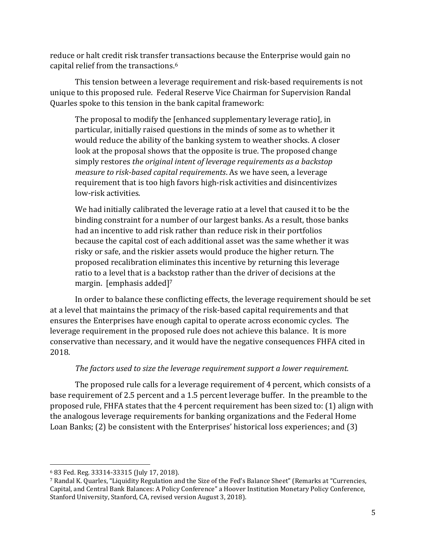reduce or halt credit risk transfer transactions because the Enterprise would gain no capital relief from the transactions.<sup>6</sup>

This tension between a leverage requirement and risk-based requirements is not unique to this proposed rule. Federal Reserve Vice Chairman for Supervision Randal Quarles spoke to this tension in the bank capital framework:

The proposal to modify the [enhanced supplementary leverage ratio], in particular, initially raised questions in the minds of some as to whether it would reduce the ability of the banking system to weather shocks. A closer look at the proposal shows that the opposite is true. The proposed change simply restores *the original intent of leverage requirements as a backstop measure to risk-based capital requirements*. As we have seen, a leverage requirement that is too high favors high-risk activities and disincentivizes low-risk activities.

We had initially calibrated the leverage ratio at a level that caused it to be the binding constraint for a number of our largest banks. As a result, those banks had an incentive to add risk rather than reduce risk in their portfolios because the capital cost of each additional asset was the same whether it was risky or safe, and the riskier assets would produce the higher return. The proposed recalibration eliminates this incentive by returning this leverage ratio to a level that is a backstop rather than the driver of decisions at the margin. [emphasis added]<sup>7</sup>

In order to balance these conflicting effects, the leverage requirement should be set at a level that maintains the primacy of the risk-based capital requirements and that ensures the Enterprises have enough capital to operate across economic cycles. The leverage requirement in the proposed rule does not achieve this balance. It is more conservative than necessary, and it would have the negative consequences FHFA cited in 2018.

#### *The factors used to size the leverage requirement support a lower requirement.*

The proposed rule calls for a leverage requirement of 4 percent, which consists of a base requirement of 2.5 percent and a 1.5 percent leverage buffer. In the preamble to the proposed rule, FHFA states that the 4 percent requirement has been sized to: (1) align with the analogous leverage requirements for banking organizations and the Federal Home Loan Banks; (2) be consistent with the Enterprises' historical loss experiences; and (3)

<sup>6</sup> 83 Fed. Reg. 33314-33315 (July 17, 2018).

<sup>7</sup> Randal K. Quarles, "Liquidity Regulation and the Size of the Fed's Balance Sheet" (Remarks at "Currencies, Capital, and Central Bank Balances: A Policy Conference" a Hoover Institution Monetary Policy Conference, Stanford University, Stanford, CA, revised version August 3, 2018).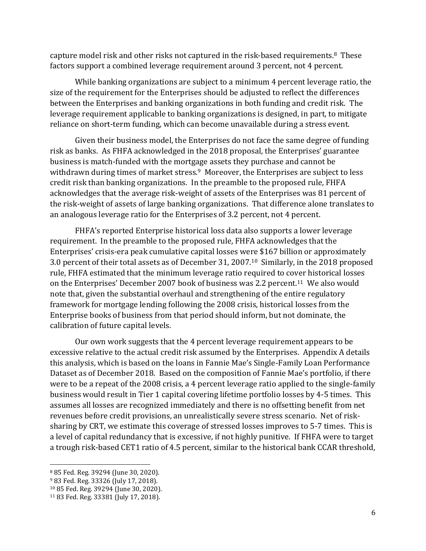capture model risk and other risks not captured in the risk-based requirements.<sup>8</sup> These factors support a combined leverage requirement around 3 percent, not 4 percent.

While banking organizations are subject to a minimum 4 percent leverage ratio, the size of the requirement for the Enterprises should be adjusted to reflect the differences between the Enterprises and banking organizations in both funding and credit risk. The leverage requirement applicable to banking organizations is designed, in part, to mitigate reliance on short-term funding, which can become unavailable during a stress event.

Given their business model, the Enterprises do not face the same degree of funding risk as banks. As FHFA acknowledged in the 2018 proposal, the Enterprises' guarantee business is match-funded with the mortgage assets they purchase and cannot be withdrawn during times of market stress.<sup>9</sup> Moreover, the Enterprises are subject to less credit risk than banking organizations. In the preamble to the proposed rule, FHFA acknowledges that the average risk-weight of assets of the Enterprises was 81 percent of the risk-weight of assets of large banking organizations. That difference alone translates to an analogous leverage ratio for the Enterprises of 3.2 percent, not 4 percent.

FHFA's reported Enterprise historical loss data also supports a lower leverage requirement. In the preamble to the proposed rule, FHFA acknowledges that the Enterprises' crisis-era peak cumulative capital losses were \$167 billion or approximately 3.0 percent of their total assets as of December 31, 2007.10 Similarly, in the 2018 proposed rule, FHFA estimated that the minimum leverage ratio required to cover historical losses on the Enterprises' December 2007 book of business was 2.2 percent.<sup>11</sup> We also would note that, given the substantial overhaul and strengthening of the entire regulatory framework for mortgage lending following the 2008 crisis, historical losses from the Enterprise books of business from that period should inform, but not dominate, the calibration of future capital levels.

Our own work suggests that the 4 percent leverage requirement appears to be excessive relative to the actual credit risk assumed by the Enterprises. Appendix A details this analysis, which is based on the loans in Fannie Mae's Single-Family Loan Performance Dataset as of December 2018. Based on the composition of Fannie Mae's portfolio, if there were to be a repeat of the 2008 crisis, a 4 percent leverage ratio applied to the single-family business would result in Tier 1 capital covering lifetime portfolio losses by 4-5 times. This assumes all losses are recognized immediately and there is no offsetting benefit from net revenues before credit provisions, an unrealistically severe stress scenario. Net of risksharing by CRT, we estimate this coverage of stressed losses improves to 5-7 times. This is a level of capital redundancy that is excessive, if not highly punitive. If FHFA were to target a trough risk-based CET1 ratio of 4.5 percent, similar to the historical bank CCAR threshold,

<sup>8</sup> 85 Fed. Reg. 39294 (June 30, 2020).

<sup>9</sup> 83 Fed. Reg. 33326 (July 17, 2018).

<sup>10</sup> 85 Fed. Reg. 39294 (June 30, 2020).

<sup>11</sup> 83 Fed. Reg. 33381 (July 17, 2018).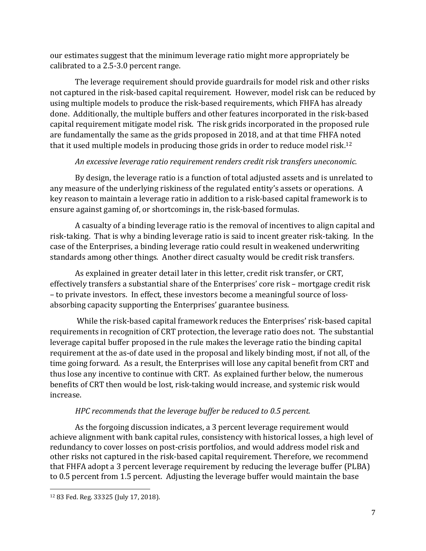our estimates suggest that the minimum leverage ratio might more appropriately be calibrated to a 2.5-3.0 percent range.

The leverage requirement should provide guardrails for model risk and other risks not captured in the risk-based capital requirement. However, model risk can be reduced by using multiple models to produce the risk-based requirements, which FHFA has already done. Additionally, the multiple buffers and other features incorporated in the risk-based capital requirement mitigate model risk. The risk grids incorporated in the proposed rule are fundamentally the same as the grids proposed in 2018, and at that time FHFA noted that it used multiple models in producing those grids in order to reduce model risk.<sup>12</sup>

### *An excessive leverage ratio requirement renders credit risk transfers uneconomic.*

By design, the leverage ratio is a function of total adjusted assets and is unrelated to any measure of the underlying riskiness of the regulated entity's assets or operations. A key reason to maintain a leverage ratio in addition to a risk-based capital framework is to ensure against gaming of, or shortcomings in, the risk-based formulas.

A casualty of a binding leverage ratio is the removal of incentives to align capital and risk-taking. That is why a binding leverage ratio is said to incent greater risk-taking. In the case of the Enterprises, a binding leverage ratio could result in weakened underwriting standards among other things. Another direct casualty would be credit risk transfers.

As explained in greater detail later in this letter, credit risk transfer, or CRT, effectively transfers a substantial share of the Enterprises' core risk – mortgage credit risk – to private investors. In effect, these investors become a meaningful source of lossabsorbing capacity supporting the Enterprises' guarantee business.

While the risk-based capital framework reduces the Enterprises' risk-based capital requirements in recognition of CRT protection, the leverage ratio does not. The substantial leverage capital buffer proposed in the rule makes the leverage ratio the binding capital requirement at the as-of date used in the proposal and likely binding most, if not all, of the time going forward. As a result, the Enterprises will lose any capital benefit from CRT and thus lose any incentive to continue with CRT. As explained further below, the numerous benefits of CRT then would be lost, risk-taking would increase, and systemic risk would increase.

# *HPC recommends that the leverage buffer be reduced to 0.5 percent.*

As the forgoing discussion indicates, a 3 percent leverage requirement would achieve alignment with bank capital rules, consistency with historical losses, a high level of redundancy to cover losses on post-crisis portfolios, and would address model risk and other risks not captured in the risk-based capital requirement. Therefore, we recommend that FHFA adopt a 3 percent leverage requirement by reducing the leverage buffer (PLBA) to 0.5 percent from 1.5 percent. Adjusting the leverage buffer would maintain the base

<sup>12</sup> 83 Fed. Reg. 33325 (July 17, 2018).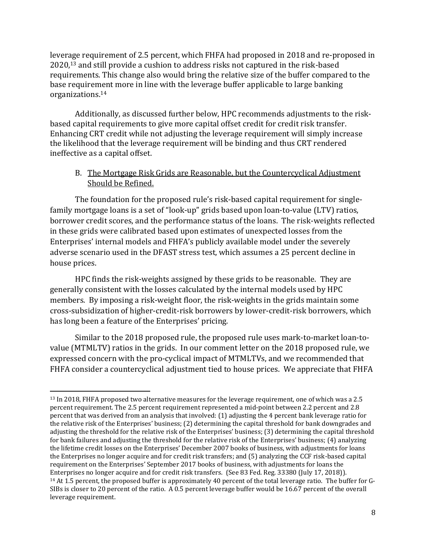leverage requirement of 2.5 percent, which FHFA had proposed in 2018 and re-proposed in 2020, <sup>13</sup> and still provide a cushion to address risks not captured in the risk-based requirements. This change also would bring the relative size of the buffer compared to the base requirement more in line with the leverage buffer applicable to large banking organizations.<sup>14</sup>

Additionally, as discussed further below, HPC recommends adjustments to the riskbased capital requirements to give more capital offset credit for credit risk transfer. Enhancing CRT credit while not adjusting the leverage requirement will simply increase the likelihood that the leverage requirement will be binding and thus CRT rendered ineffective as a capital offset.

### B. The Mortgage Risk Grids are Reasonable, but the Countercyclical Adjustment Should be Refined.

The foundation for the proposed rule's risk-based capital requirement for singlefamily mortgage loans is a set of "look-up" grids based upon loan-to-value (LTV) ratios, borrower credit scores, and the performance status of the loans. The risk-weights reflected in these grids were calibrated based upon estimates of unexpected losses from the Enterprises' internal models and FHFA's publicly available model under the severely adverse scenario used in the DFAST stress test, which assumes a 25 percent decline in house prices.

HPC finds the risk-weights assigned by these grids to be reasonable. They are generally consistent with the losses calculated by the internal models used by HPC members. By imposing a risk-weight floor, the risk-weights in the grids maintain some cross-subsidization of higher-credit-risk borrowers by lower-credit-risk borrowers, which has long been a feature of the Enterprises' pricing.

Similar to the 2018 proposed rule, the proposed rule uses mark-to-market loan-tovalue (MTMLTV) ratios in the grids. In our comment letter on the 2018 proposed rule, we expressed concern with the pro-cyclical impact of MTMLTVs, and we recommended that FHFA consider a countercyclical adjustment tied to house prices. We appreciate that FHFA

<sup>13</sup> In 2018, FHFA proposed two alternative measures for the leverage requirement, one of which was a 2.5 percent requirement. The 2.5 percent requirement represented a mid-point between 2.2 percent and 2.8 percent that was derived from an analysis that involved: (1) adjusting the 4 percent bank leverage ratio for the relative risk of the Enterprises' business; (2) determining the capital threshold for bank downgrades and adjusting the threshold for the relative risk of the Enterprises' business; (3) determining the capital threshold for bank failures and adjusting the threshold for the relative risk of the Enterprises' business; (4) analyzing the lifetime credit losses on the Enterprises' December 2007 books of business, with adjustments for loans the Enterprises no longer acquire and for credit risk transfers; and (5) analyzing the CCF risk-based capital requirement on the Enterprises' September 2017 books of business, with adjustments for loans the Enterprises no longer acquire and for credit risk transfers. (See 83 Fed. Reg. 33380 (July 17, 2018)). <sup>14</sup> At 1.5 percent, the proposed buffer is approximately 40 percent of the total leverage ratio. The buffer for G-SIBs is closer to 20 percent of the ratio. A 0.5 percent leverage buffer would be 16.67 percent of the overall leverage requirement.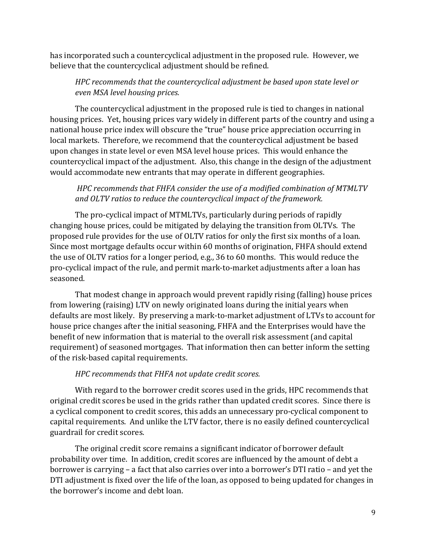has incorporated such a countercyclical adjustment in the proposed rule. However, we believe that the countercyclical adjustment should be refined.

# *HPC recommends that the countercyclical adjustment be based upon state level or even MSA level housing prices.*

The countercyclical adjustment in the proposed rule is tied to changes in national housing prices. Yet, housing prices vary widely in different parts of the country and using a national house price index will obscure the "true" house price appreciation occurring in local markets. Therefore, we recommend that the countercyclical adjustment be based upon changes in state level or even MSA level house prices. This would enhance the countercyclical impact of the adjustment. Also, this change in the design of the adjustment would accommodate new entrants that may operate in different geographies.

### *HPC recommends that FHFA consider the use of a modified combination of MTMLTV and OLTV ratios to reduce the countercyclical impact of the framework.*

The pro-cyclical impact of MTMLTVs, particularly during periods of rapidly changing house prices, could be mitigated by delaying the transition from OLTVs. The proposed rule provides for the use of OLTV ratios for only the first six months of a loan. Since most mortgage defaults occur within 60 months of origination, FHFA should extend the use of OLTV ratios for a longer period, e.g., 36 to 60 months. This would reduce the pro-cyclical impact of the rule, and permit mark-to-market adjustments after a loan has seasoned.

That modest change in approach would prevent rapidly rising (falling) house prices from lowering (raising) LTV on newly originated loans during the initial years when defaults are most likely. By preserving a mark-to-market adjustment of LTVs to account for house price changes after the initial seasoning, FHFA and the Enterprises would have the benefit of new information that is material to the overall risk assessment (and capital requirement) of seasoned mortgages. That information then can better inform the setting of the risk-based capital requirements.

# *HPC recommends that FHFA not update credit scores.*

With regard to the borrower credit scores used in the grids, HPC recommends that original credit scores be used in the grids rather than updated credit scores. Since there is a cyclical component to credit scores, this adds an unnecessary pro-cyclical component to capital requirements. And unlike the LTV factor, there is no easily defined countercyclical guardrail for credit scores.

The original credit score remains a significant indicator of borrower default probability over time. In addition, credit scores are influenced by the amount of debt a borrower is carrying – a fact that also carries over into a borrower's DTI ratio – and yet the DTI adjustment is fixed over the life of the loan, as opposed to being updated for changes in the borrower's income and debt loan.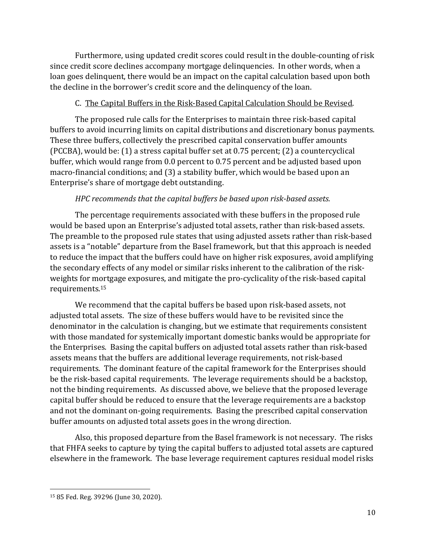Furthermore, using updated credit scores could result in the double-counting of risk since credit score declines accompany mortgage delinquencies. In other words, when a loan goes delinquent, there would be an impact on the capital calculation based upon both the decline in the borrower's credit score and the delinquency of the loan.

# C. The Capital Buffers in the Risk-Based Capital Calculation Should be Revised.

The proposed rule calls for the Enterprises to maintain three risk-based capital buffers to avoid incurring limits on capital distributions and discretionary bonus payments. These three buffers, collectively the prescribed capital conservation buffer amounts (PCCBA), would be: (1) a stress capital buffer set at 0.75 percent; (2) a countercyclical buffer, which would range from 0.0 percent to 0.75 percent and be adjusted based upon macro-financial conditions; and (3) a stability buffer, which would be based upon an Enterprise's share of mortgage debt outstanding.

# *HPC recommends that the capital buffers be based upon risk-based assets.*

The percentage requirements associated with these buffers in the proposed rule would be based upon an Enterprise's adjusted total assets, rather than risk-based assets. The preamble to the proposed rule states that using adjusted assets rather than risk-based assets is a "notable" departure from the Basel framework, but that this approach is needed to reduce the impact that the buffers could have on higher risk exposures, avoid amplifying the secondary effects of any model or similar risks inherent to the calibration of the riskweights for mortgage exposures, and mitigate the pro-cyclicality of the risk-based capital requirements.<sup>15</sup>

We recommend that the capital buffers be based upon risk-based assets, not adjusted total assets. The size of these buffers would have to be revisited since the denominator in the calculation is changing, but we estimate that requirements consistent with those mandated for systemically important domestic banks would be appropriate for the Enterprises. Basing the capital buffers on adjusted total assets rather than risk-based assets means that the buffers are additional leverage requirements, not risk-based requirements. The dominant feature of the capital framework for the Enterprises should be the risk-based capital requirements. The leverage requirements should be a backstop, not the binding requirements. As discussed above, we believe that the proposed leverage capital buffer should be reduced to ensure that the leverage requirements are a backstop and not the dominant on-going requirements. Basing the prescribed capital conservation buffer amounts on adjusted total assets goes in the wrong direction.

Also, this proposed departure from the Basel framework is not necessary. The risks that FHFA seeks to capture by tying the capital buffers to adjusted total assets are captured elsewhere in the framework. The base leverage requirement captures residual model risks

<sup>15</sup> 85 Fed. Reg. 39296 (June 30, 2020).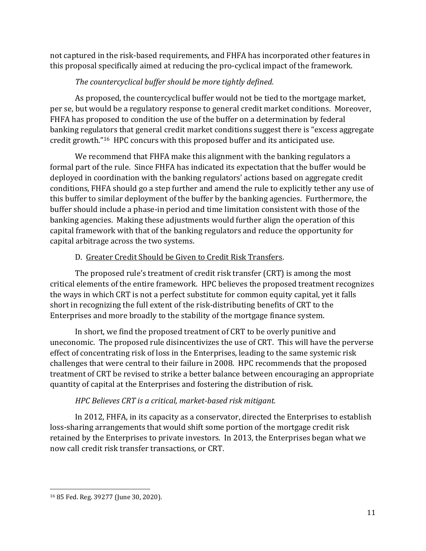not captured in the risk-based requirements, and FHFA has incorporated other features in this proposal specifically aimed at reducing the pro-cyclical impact of the framework.

# *The countercyclical buffer should be more tightly defined.*

As proposed, the countercyclical buffer would not be tied to the mortgage market, per se, but would be a regulatory response to general credit market conditions. Moreover, FHFA has proposed to condition the use of the buffer on a determination by federal banking regulators that general credit market conditions suggest there is "excess aggregate credit growth." <sup>16</sup> HPC concurs with this proposed buffer and its anticipated use.

We recommend that FHFA make this alignment with the banking regulators a formal part of the rule. Since FHFA has indicated its expectation that the buffer would be deployed in coordination with the banking regulators' actions based on aggregate credit conditions, FHFA should go a step further and amend the rule to explicitly tether any use of this buffer to similar deployment of the buffer by the banking agencies. Furthermore, the buffer should include a phase-in period and time limitation consistent with those of the banking agencies. Making these adjustments would further align the operation of this capital framework with that of the banking regulators and reduce the opportunity for capital arbitrage across the two systems.

# D. Greater Credit Should be Given to Credit Risk Transfers.

The proposed rule's treatment of credit risk transfer (CRT) is among the most critical elements of the entire framework. HPC believes the proposed treatment recognizes the ways in which CRT is not a perfect substitute for common equity capital, yet it falls short in recognizing the full extent of the risk-distributing benefits of CRT to the Enterprises and more broadly to the stability of the mortgage finance system.

In short, we find the proposed treatment of CRT to be overly punitive and uneconomic. The proposed rule disincentivizes the use of CRT. This will have the perverse effect of concentrating risk of loss in the Enterprises, leading to the same systemic risk challenges that were central to their failure in 2008. HPC recommends that the proposed treatment of CRT be revised to strike a better balance between encouraging an appropriate quantity of capital at the Enterprises and fostering the distribution of risk.

# *HPC Believes CRT is a critical, market-based risk mitigant.*

In 2012, FHFA, in its capacity as a conservator, directed the Enterprises to establish loss-sharing arrangements that would shift some portion of the mortgage credit risk retained by the Enterprises to private investors. In 2013, the Enterprises began what we now call credit risk transfer transactions, or CRT.

<sup>16</sup> 85 Fed. Reg. 39277 (June 30, 2020).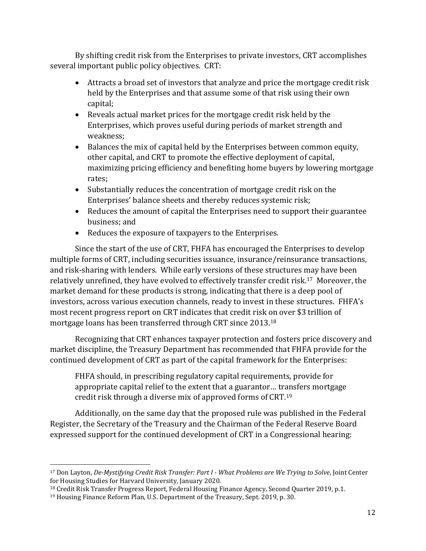By shifting credit risk from the Enterprises to private investors, CRT accomplishes several important public policy objectives. CRT:

- Attracts a broad set of investors that analyze and price the mortgage credit risk held by the Enterprises and that assume some of that risk using their own capital;
- Reveals actual market prices for the mortgage credit risk held by the Enterprises, which proves useful during periods of market strength and weakness;
- Balances the mix of capital held by the Enterprises between common equity, other capital, and CRT to promote the effective deployment of capital, maximizing pricing efficiency and benefiting home buyers by lowering mortgage rates;
- Substantially reduces the concentration of mortgage credit risk on the Enterprises' balance sheets and thereby reduces systemic risk;
- Reduces the amount of capital the Enterprises need to support their guarantee business; and
- Reduces the exposure of taxpayers to the Enterprises.

Since the start of the use of CRT, FHFA has encouraged the Enterprises to develop multiple forms of CRT, including securities issuance, insurance/reinsurance transactions, and risk-sharing with lenders. While early versions of these structures may have been relatively unrefined, they have evolved to effectively transfer credit risk.<sup>17</sup> Moreover, the market demand for these products is strong, indicating that there is a deep pool of investors, across various execution channels, ready to invest in these structures. FHFA's most recent progress report on CRT indicates that credit risk on over \$3 trillion of mortgage loans has been transferred through CRT since 2013.<sup>18</sup>

Recognizing that CRT enhances taxpayer protection and fosters price discovery and market discipline, the Treasury Department has recommended that FHFA provide for the continued development of CRT as part of the capital framework for the Enterprises:

FHFA should, in prescribing regulatory capital requirements, provide for appropriate capital relief to the extent that a guarantor… transfers mortgage credit risk through a diverse mix of approved forms of CRT.<sup>19</sup>

Additionally, on the same day that the proposed rule was published in the Federal Register, the Secretary of the Treasury and the Chairman of the Federal Reserve Board expressed support for the continued development of CRT in a Congressional hearing:

<sup>17</sup> Don Layton, *De-Mystifying Credit Risk Transfer: Part I - What Problems are We Trying to Solve*, Joint Center for Housing Studies for Harvard University, January 2020.

<sup>18</sup> Credit Risk Transfer Progress Report, Federal Housing Finance Agency, Second Quarter 2019, p.1.

<sup>&</sup>lt;sup>19</sup> Housing Finance Reform Plan, U.S. Department of the Treasury, Sept. 2019, p. 30.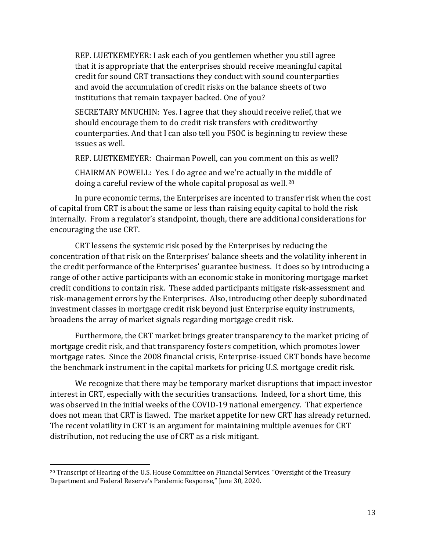REP. LUETKEMEYER: I ask each of you gentlemen whether you still agree that it is appropriate that the enterprises should receive meaningful capital credit for sound CRT transactions they conduct with sound counterparties and avoid the accumulation of credit risks on the balance sheets of two institutions that remain taxpayer backed. One of you?

SECRETARY MNUCHIN: Yes. I agree that they should receive relief, that we should encourage them to do credit risk transfers with creditworthy counterparties. And that I can also tell you FSOC is beginning to review these issues as well.

REP. LUETKEMEYER: Chairman Powell, can you comment on this as well?

CHAIRMAN POWELL: Yes. I do agree and we're actually in the middle of doing a careful review of the whole capital proposal as well. <sup>20</sup>

In pure economic terms, the Enterprises are incented to transfer risk when the cost of capital from CRT is about the same or less than raising equity capital to hold the risk internally. From a regulator's standpoint, though, there are additional considerations for encouraging the use CRT.

CRT lessens the systemic risk posed by the Enterprises by reducing the concentration of that risk on the Enterprises' balance sheets and the volatility inherent in the credit performance of the Enterprises' guarantee business. It does so by introducing a range of other active participants with an economic stake in monitoring mortgage market credit conditions to contain risk. These added participants mitigate risk-assessment and risk-management errors by the Enterprises. Also, introducing other deeply subordinated investment classes in mortgage credit risk beyond just Enterprise equity instruments, broadens the array of market signals regarding mortgage credit risk.

Furthermore, the CRT market brings greater transparency to the market pricing of mortgage credit risk, and that transparency fosters competition, which promotes lower mortgage rates. Since the 2008 financial crisis, Enterprise-issued CRT bonds have become the benchmark instrument in the capital markets for pricing U.S. mortgage credit risk.

We recognize that there may be temporary market disruptions that impact investor interest in CRT, especially with the securities transactions. Indeed, for a short time, this was observed in the initial weeks of the COVID-19 national emergency. That experience does not mean that CRT is flawed. The market appetite for new CRT has already returned. The recent volatility in CRT is an argument for maintaining multiple avenues for CRT distribution, not reducing the use of CRT as a risk mitigant.

<sup>20</sup> Transcript of Hearing of the U.S. House Committee on Financial Services. "Oversight of the Treasury Department and Federal Reserve's Pandemic Response," June 30, 2020.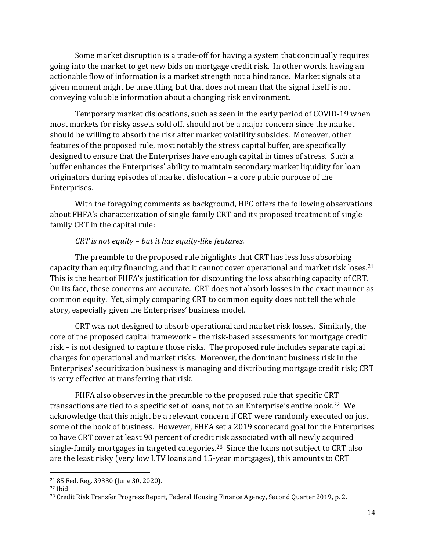Some market disruption is a trade-off for having a system that continually requires going into the market to get new bids on mortgage credit risk. In other words, having an actionable flow of information is a market strength not a hindrance. Market signals at a given moment might be unsettling, but that does not mean that the signal itself is not conveying valuable information about a changing risk environment.

Temporary market dislocations, such as seen in the early period of COVID-19 when most markets for risky assets sold off, should not be a major concern since the market should be willing to absorb the risk after market volatility subsides. Moreover, other features of the proposed rule, most notably the stress capital buffer, are specifically designed to ensure that the Enterprises have enough capital in times of stress. Such a buffer enhances the Enterprises' ability to maintain secondary market liquidity for loan originators during episodes of market dislocation – a core public purpose of the Enterprises.

With the foregoing comments as background, HPC offers the following observations about FHFA's characterization of single-family CRT and its proposed treatment of singlefamily CRT in the capital rule:

#### *CRT is not equity – but it has equity-like features.*

The preamble to the proposed rule highlights that CRT has less loss absorbing capacity than equity financing, and that it cannot cover operational and market risk loses.<sup>21</sup> This is the heart of FHFA's justification for discounting the loss absorbing capacity of CRT. On its face, these concerns are accurate. CRT does not absorb losses in the exact manner as common equity. Yet, simply comparing CRT to common equity does not tell the whole story, especially given the Enterprises' business model.

CRT was not designed to absorb operational and market risk losses. Similarly, the core of the proposed capital framework – the risk-based assessments for mortgage credit risk – is not designed to capture those risks. The proposed rule includes separate capital charges for operational and market risks. Moreover, the dominant business risk in the Enterprises' securitization business is managing and distributing mortgage credit risk; CRT is very effective at transferring that risk.

FHFA also observes in the preamble to the proposed rule that specific CRT transactions are tied to a specific set of loans, not to an Enterprise's entire book.22 We acknowledge that this might be a relevant concern if CRT were randomly executed on just some of the book of business. However, FHFA set a 2019 scorecard goal for the Enterprises to have CRT cover at least 90 percent of credit risk associated with all newly acquired single-family mortgages in targeted categories.23 Since the loans not subject to CRT also are the least risky (very low LTV loans and 15-year mortgages), this amounts to CRT

<sup>21</sup> 85 Fed. Reg. 39330 (June 30, 2020).

<sup>22</sup> Ibid.

<sup>&</sup>lt;sup>23</sup> Credit Risk Transfer Progress Report, Federal Housing Finance Agency, Second Quarter 2019, p. 2.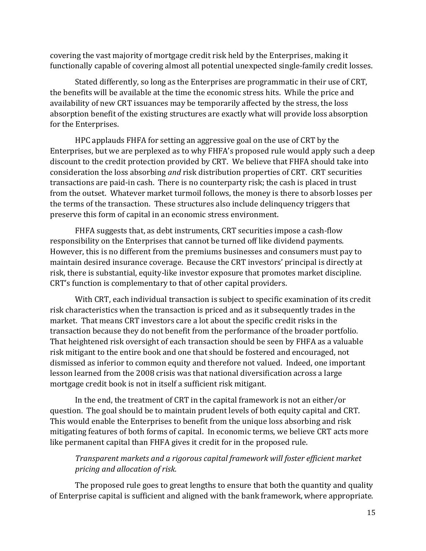covering the vast majority of mortgage credit risk held by the Enterprises, making it functionally capable of covering almost all potential unexpected single-family credit losses.

Stated differently, so long as the Enterprises are programmatic in their use of CRT, the benefits will be available at the time the economic stress hits. While the price and availability of new CRT issuances may be temporarily affected by the stress, the loss absorption benefit of the existing structures are exactly what will provide loss absorption for the Enterprises.

HPC applauds FHFA for setting an aggressive goal on the use of CRT by the Enterprises, but we are perplexed as to why FHFA's proposed rule would apply such a deep discount to the credit protection provided by CRT. We believe that FHFA should take into consideration the loss absorbing *and* risk distribution properties of CRT. CRT securities transactions are paid-in cash. There is no counterparty risk; the cash is placed in trust from the outset. Whatever market turmoil follows, the money is there to absorb losses per the terms of the transaction. These structures also include delinquency triggers that preserve this form of capital in an economic stress environment.

FHFA suggests that, as debt instruments, CRT securities impose a cash-flow responsibility on the Enterprises that cannot be turned off like dividend payments. However, this is no different from the premiums businesses and consumers must pay to maintain desired insurance coverage. Because the CRT investors' principal is directly at risk, there is substantial, equity-like investor exposure that promotes market discipline. CRT's function is complementary to that of other capital providers.

With CRT, each individual transaction is subject to specific examination of its credit risk characteristics when the transaction is priced and as it subsequently trades in the market. That means CRT investors care a lot about the specific credit risks in the transaction because they do not benefit from the performance of the broader portfolio. That heightened risk oversight of each transaction should be seen by FHFA as a valuable risk mitigant to the entire book and one that should be fostered and encouraged, not dismissed as inferior to common equity and therefore not valued. Indeed, one important lesson learned from the 2008 crisis was that national diversification across a large mortgage credit book is not in itself a sufficient risk mitigant.

In the end, the treatment of CRT in the capital framework is not an either/or question. The goal should be to maintain prudent levels of both equity capital and CRT. This would enable the Enterprises to benefit from the unique loss absorbing and risk mitigating features of both forms of capital. In economic terms, we believe CRT acts more like permanent capital than FHFA gives it credit for in the proposed rule.

# *Transparent markets and a rigorous capital framework will foster efficient market pricing and allocation of risk.*

The proposed rule goes to great lengths to ensure that both the quantity and quality of Enterprise capital is sufficient and aligned with the bank framework, where appropriate.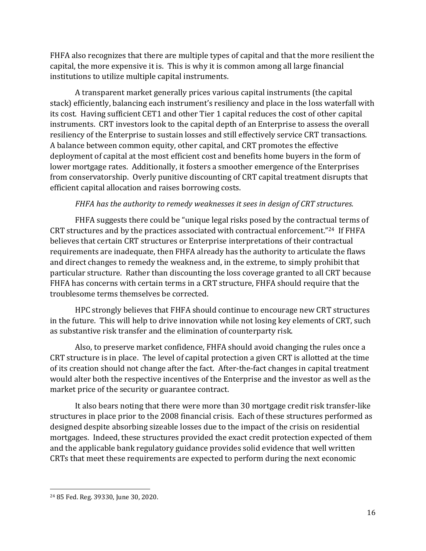FHFA also recognizes that there are multiple types of capital and that the more resilient the capital, the more expensive it is. This is why it is common among all large financial institutions to utilize multiple capital instruments.

A transparent market generally prices various capital instruments (the capital stack) efficiently, balancing each instrument's resiliency and place in the loss waterfall with its cost. Having sufficient CET1 and other Tier 1 capital reduces the cost of other capital instruments. CRT investors look to the capital depth of an Enterprise to assess the overall resiliency of the Enterprise to sustain losses and still effectively service CRT transactions. A balance between common equity, other capital, and CRT promotes the effective deployment of capital at the most efficient cost and benefits home buyers in the form of lower mortgage rates. Additionally, it fosters a smoother emergence of the Enterprises from conservatorship. Overly punitive discounting of CRT capital treatment disrupts that efficient capital allocation and raises borrowing costs.

### *FHFA has the authority to remedy weaknesses it sees in design of CRT structures.*

FHFA suggests there could be "unique legal risks posed by the contractual terms of CRT structures and by the practices associated with contractual enforcement."24 If FHFA believes that certain CRT structures or Enterprise interpretations of their contractual requirements are inadequate, then FHFA already has the authority to articulate the flaws and direct changes to remedy the weakness and, in the extreme, to simply prohibit that particular structure. Rather than discounting the loss coverage granted to all CRT because FHFA has concerns with certain terms in a CRT structure, FHFA should require that the troublesome terms themselves be corrected.

HPC strongly believes that FHFA should continue to encourage new CRT structures in the future. This will help to drive innovation while not losing key elements of CRT, such as substantive risk transfer and the elimination of counterparty risk.

Also, to preserve market confidence, FHFA should avoid changing the rules once a CRT structure is in place. The level of capital protection a given CRT is allotted at the time of its creation should not change after the fact. After-the-fact changes in capital treatment would alter both the respective incentives of the Enterprise and the investor as well as the market price of the security or guarantee contract.

It also bears noting that there were more than 30 mortgage credit risk transfer-like structures in place prior to the 2008 financial crisis. Each of these structures performed as designed despite absorbing sizeable losses due to the impact of the crisis on residential mortgages. Indeed, these structures provided the exact credit protection expected of them and the applicable bank regulatory guidance provides solid evidence that well written CRTs that meet these requirements are expected to perform during the next economic

<sup>24</sup> 85 Fed. Reg. 39330, June 30, 2020.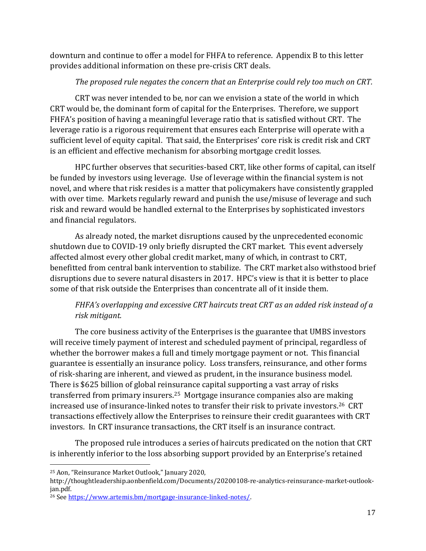downturn and continue to offer a model for FHFA to reference. Appendix B to this letter provides additional information on these pre-crisis CRT deals.

# *The proposed rule negates the concern that an Enterprise could rely too much on CRT.*

CRT was never intended to be, nor can we envision a state of the world in which CRT would be, the dominant form of capital for the Enterprises. Therefore, we support FHFA's position of having a meaningful leverage ratio that is satisfied without CRT. The leverage ratio is a rigorous requirement that ensures each Enterprise will operate with a sufficient level of equity capital. That said, the Enterprises' core risk is credit risk and CRT is an efficient and effective mechanism for absorbing mortgage credit losses.

HPC further observes that securities-based CRT, like other forms of capital, can itself be funded by investors using leverage. Use of leverage within the financial system is not novel, and where that risk resides is a matter that policymakers have consistently grappled with over time. Markets regularly reward and punish the use/misuse of leverage and such risk and reward would be handled external to the Enterprises by sophisticated investors and financial regulators.

As already noted, the market disruptions caused by the unprecedented economic shutdown due to COVID-19 only briefly disrupted the CRT market. This event adversely affected almost every other global credit market, many of which, in contrast to CRT, benefitted from central bank intervention to stabilize. The CRT market also withstood brief disruptions due to severe natural disasters in 2017. HPC's view is that it is better to place some of that risk outside the Enterprises than concentrate all of it inside them.

# *FHFA's overlapping and excessive CRT haircuts treat CRT as an added risk instead of a risk mitigant.*

The core business activity of the Enterprises is the guarantee that UMBS investors will receive timely payment of interest and scheduled payment of principal, regardless of whether the borrower makes a full and timely mortgage payment or not. This financial guarantee is essentially an insurance policy. Loss transfers, reinsurance, and other forms of risk-sharing are inherent, and viewed as prudent, in the insurance business model. There is \$625 billion of global reinsurance capital supporting a vast array of risks transferred from primary insurers.<sup>25</sup> Mortgage insurance companies also are making increased use of insurance-linked notes to transfer their risk to private investors.<sup>26</sup> CRT transactions effectively allow the Enterprises to reinsure their credit guarantees with CRT investors. In CRT insurance transactions, the CRT itself is an insurance contract.

The proposed rule introduces a series of haircuts predicated on the notion that CRT is inherently inferior to the loss absorbing support provided by an Enterprise's retained

<sup>25</sup> Aon, "Reinsurance Market Outlook," January 2020,

http://thoughtleadership.aonbenfield.com/Documents/20200108-re-analytics-reinsurance-market-outlookjan.pdf.

<sup>26</sup> Se[e https://www.artemis.bm/mortgage-insurance-linked-notes/.](https://www.artemis.bm/mortgage-insurance-linked-notes/)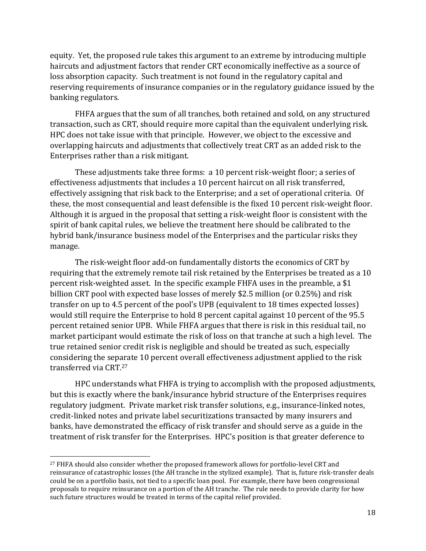equity. Yet, the proposed rule takes this argument to an extreme by introducing multiple haircuts and adjustment factors that render CRT economically ineffective as a source of loss absorption capacity. Such treatment is not found in the regulatory capital and reserving requirements of insurance companies or in the regulatory guidance issued by the banking regulators.

FHFA argues that the sum of all tranches, both retained and sold, on any structured transaction, such as CRT, should require more capital than the equivalent underlying risk. HPC does not take issue with that principle. However, we object to the excessive and overlapping haircuts and adjustments that collectively treat CRT as an added risk to the Enterprises rather than a risk mitigant.

These adjustments take three forms: a 10 percent risk-weight floor; a series of effectiveness adjustments that includes a 10 percent haircut on all risk transferred, effectively assigning that risk back to the Enterprise; and a set of operational criteria. Of these, the most consequential and least defensible is the fixed 10 percent risk-weight floor. Although it is argued in the proposal that setting a risk-weight floor is consistent with the spirit of bank capital rules, we believe the treatment here should be calibrated to the hybrid bank/insurance business model of the Enterprises and the particular risks they manage.

The risk-weight floor add-on fundamentally distorts the economics of CRT by requiring that the extremely remote tail risk retained by the Enterprises be treated as a 10 percent risk-weighted asset. In the specific example FHFA uses in the preamble, a \$1 billion CRT pool with expected base losses of merely \$2.5 million (or 0.25%) and risk transfer on up to 4.5 percent of the pool's UPB (equivalent to 18 times expected losses) would still require the Enterprise to hold 8 percent capital against 10 percent of the 95.5 percent retained senior UPB. While FHFA argues that there is risk in this residual tail, no market participant would estimate the risk of loss on that tranche at such a high level. The true retained senior credit risk is negligible and should be treated as such, especially considering the separate 10 percent overall effectiveness adjustment applied to the risk transferred via CRT. 27

HPC understands what FHFA is trying to accomplish with the proposed adjustments, but this is exactly where the bank/insurance hybrid structure of the Enterprises requires regulatory judgment. Private market risk transfer solutions, e.g., insurance-linked notes, credit-linked notes and private label securitizations transacted by many insurers and banks, have demonstrated the efficacy of risk transfer and should serve as a guide in the treatment of risk transfer for the Enterprises. HPC's position is that greater deference to

<sup>&</sup>lt;sup>27</sup> FHFA should also consider whether the proposed framework allows for portfolio-level CRT and reinsurance of catastrophic losses (the AH tranche in the stylized example). That is, future risk-transfer deals could be on a portfolio basis, not tied to a specific loan pool. For example, there have been congressional proposals to require reinsurance on a portion of the AH tranche. The rule needs to provide clarity for how such future structures would be treated in terms of the capital relief provided.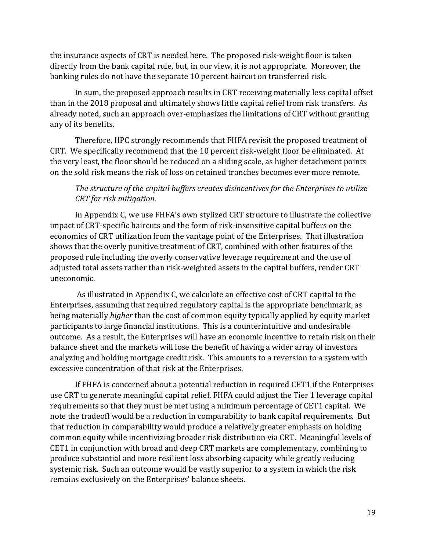the insurance aspects of CRT is needed here. The proposed risk-weight floor is taken directly from the bank capital rule, but, in our view, it is not appropriate. Moreover, the banking rules do not have the separate 10 percent haircut on transferred risk.

In sum, the proposed approach results in CRT receiving materially less capital offset than in the 2018 proposal and ultimately shows little capital relief from risk transfers. As already noted, such an approach over-emphasizes the limitations of CRT without granting any of its benefits.

Therefore, HPC strongly recommends that FHFA revisit the proposed treatment of CRT. We specifically recommend that the 10 percent risk-weight floor be eliminated. At the very least, the floor should be reduced on a sliding scale, as higher detachment points on the sold risk means the risk of loss on retained tranches becomes ever more remote.

### *The structure of the capital buffers creates disincentives for the Enterprises to utilize CRT for risk mitigation.*

In Appendix C, we use FHFA's own stylized CRT structure to illustrate the collective impact of CRT-specific haircuts and the form of risk-insensitive capital buffers on the economics of CRT utilization from the vantage point of the Enterprises. That illustration shows that the overly punitive treatment of CRT, combined with other features of the proposed rule including the overly conservative leverage requirement and the use of adjusted total assets rather than risk-weighted assets in the capital buffers, render CRT uneconomic.

As illustrated in Appendix C, we calculate an effective cost of CRT capital to the Enterprises, assuming that required regulatory capital is the appropriate benchmark, as being materially *higher* than the cost of common equity typically applied by equity market participants to large financial institutions. This is a counterintuitive and undesirable outcome. As a result, the Enterprises will have an economic incentive to retain risk on their balance sheet and the markets will lose the benefit of having a wider array of investors analyzing and holding mortgage credit risk. This amounts to a reversion to a system with excessive concentration of that risk at the Enterprises.

If FHFA is concerned about a potential reduction in required CET1 if the Enterprises use CRT to generate meaningful capital relief, FHFA could adjust the Tier 1 leverage capital requirements so that they must be met using a minimum percentage of CET1 capital. We note the tradeoff would be a reduction in comparability to bank capital requirements. But that reduction in comparability would produce a relatively greater emphasis on holding common equity while incentivizing broader risk distribution via CRT. Meaningful levels of CET1 in conjunction with broad and deep CRT markets are complementary, combining to produce substantial and more resilient loss absorbing capacity while greatly reducing systemic risk. Such an outcome would be vastly superior to a system in which the risk remains exclusively on the Enterprises' balance sheets.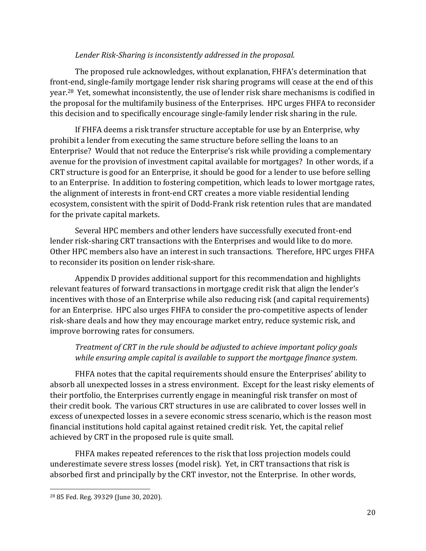#### *Lender Risk-Sharing is inconsistently addressed in the proposal.*

The proposed rule acknowledges, without explanation, FHFA's determination that front-end, single-family mortgage lender risk sharing programs will cease at the end of this year.28 Yet, somewhat inconsistently, the use of lender risk share mechanisms is codified in the proposal for the multifamily business of the Enterprises. HPC urges FHFA to reconsider this decision and to specifically encourage single-family lender risk sharing in the rule.

If FHFA deems a risk transfer structure acceptable for use by an Enterprise, why prohibit a lender from executing the same structure before selling the loans to an Enterprise? Would that not reduce the Enterprise's risk while providing a complementary avenue for the provision of investment capital available for mortgages? In other words, if a CRT structure is good for an Enterprise, it should be good for a lender to use before selling to an Enterprise. In addition to fostering competition, which leads to lower mortgage rates, the alignment of interests in front-end CRT creates a more viable residential lending ecosystem, consistent with the spirit of Dodd-Frank risk retention rules that are mandated for the private capital markets.

Several HPC members and other lenders have successfully executed front-end lender risk-sharing CRT transactions with the Enterprises and would like to do more. Other HPC members also have an interest in such transactions. Therefore, HPC urges FHFA to reconsider its position on lender risk-share.

Appendix D provides additional support for this recommendation and highlights relevant features of forward transactions in mortgage credit risk that align the lender's incentives with those of an Enterprise while also reducing risk (and capital requirements) for an Enterprise. HPC also urges FHFA to consider the pro-competitive aspects of lender risk-share deals and how they may encourage market entry, reduce systemic risk, and improve borrowing rates for consumers.

# *Treatment of CRT in the rule should be adjusted to achieve important policy goals while ensuring ample capital is available to support the mortgage finance system.*

FHFA notes that the capital requirements should ensure the Enterprises' ability to absorb all unexpected losses in a stress environment. Except for the least risky elements of their portfolio, the Enterprises currently engage in meaningful risk transfer on most of their credit book. The various CRT structures in use are calibrated to cover losses well in excess of unexpected losses in a severe economic stress scenario, which is the reason most financial institutions hold capital against retained credit risk. Yet, the capital relief achieved by CRT in the proposed rule is quite small.

FHFA makes repeated references to the risk that loss projection models could underestimate severe stress losses (model risk). Yet, in CRT transactions that risk is absorbed first and principally by the CRT investor, not the Enterprise. In other words,

<sup>28</sup> 85 Fed. Reg. 39329 (June 30, 2020).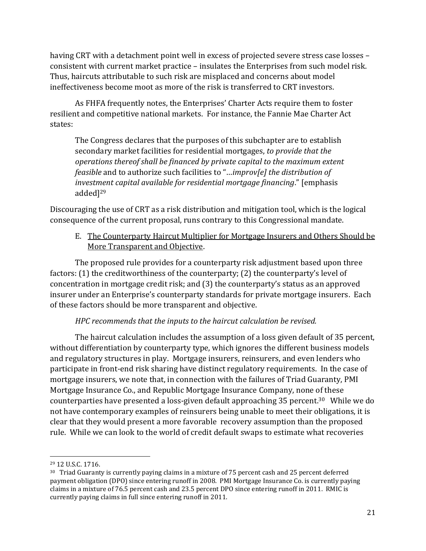having CRT with a detachment point well in excess of projected severe stress case losses – consistent with current market practice – insulates the Enterprises from such model risk. Thus, haircuts attributable to such risk are misplaced and concerns about model ineffectiveness become moot as more of the risk is transferred to CRT investors.

As FHFA frequently notes, the Enterprises' Charter Acts require them to foster resilient and competitive national markets. For instance, the Fannie Mae Charter Act states:

The Congress declares that the purposes of this subchapter are to establish secondary market facilities for residential mortgages, *to provide that the operations thereof shall be financed by private capital to the maximum extent feasible* and to authorize such facilities to "…*improv[e] the distribution of investment capital available for residential mortgage financing*." [emphasis added]<sup>29</sup>

Discouraging the use of CRT as a risk distribution and mitigation tool, which is the logical consequence of the current proposal, runs contrary to this Congressional mandate.

E. The Counterparty Haircut Multiplier for Mortgage Insurers and Others Should be More Transparent and Objective.

The proposed rule provides for a counterparty risk adjustment based upon three factors: (1) the creditworthiness of the counterparty; (2) the counterparty's level of concentration in mortgage credit risk; and (3) the counterparty's status as an approved insurer under an Enterprise's counterparty standards for private mortgage insurers. Each of these factors should be more transparent and objective.

# *HPC recommends that the inputs to the haircut calculation be revised.*

The haircut calculation includes the assumption of a loss given default of 35 percent, without differentiation by counterparty type, which ignores the different business models and regulatory structures in play. Mortgage insurers, reinsurers, and even lenders who participate in front-end risk sharing have distinct regulatory requirements. In the case of mortgage insurers, we note that, in connection with the failures of Triad Guaranty, PMI Mortgage Insurance Co., and Republic Mortgage Insurance Company, none of these counterparties have presented a loss-given default approaching 35 percent. <sup>30</sup> While we do not have contemporary examples of reinsurers being unable to meet their obligations, it is clear that they would present a more favorable recovery assumption than the proposed rule. While we can look to the world of credit default swaps to estimate what recoveries

<sup>29</sup> 12 U.S.C. 1716.

<sup>30</sup> Triad Guaranty is currently paying claims in a mixture of 75 percent cash and 25 percent deferred payment obligation (DPO) since entering runoff in 2008. PMI Mortgage Insurance Co. is currently paying claims in a mixture of 76.5 percent cash and 23.5 percent DPO since entering runoff in 2011. RMIC is currently paying claims in full since entering runoff in 2011.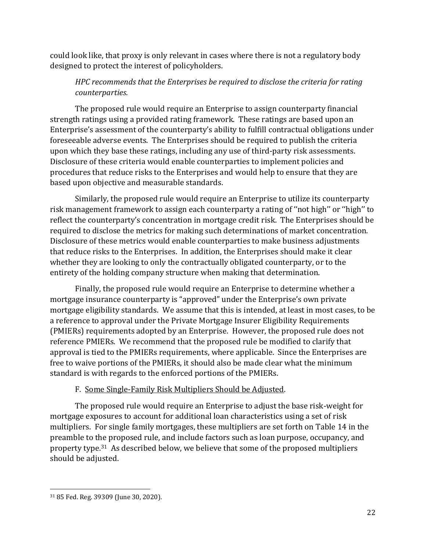could look like, that proxy is only relevant in cases where there is not a regulatory body designed to protect the interest of policyholders.

# *HPC recommends that the Enterprises be required to disclose the criteria for rating counterparties.*

The proposed rule would require an Enterprise to assign counterparty financial strength ratings using a provided rating framework. These ratings are based upon an Enterprise's assessment of the counterparty's ability to fulfill contractual obligations under foreseeable adverse events. The Enterprises should be required to publish the criteria upon which they base these ratings, including any use of third-party risk assessments. Disclosure of these criteria would enable counterparties to implement policies and procedures that reduce risks to the Enterprises and would help to ensure that they are based upon objective and measurable standards.

Similarly, the proposed rule would require an Enterprise to utilize its counterparty risk management framework to assign each counterparty a rating of ''not high'' or ''high'' to reflect the counterparty's concentration in mortgage credit risk. The Enterprises should be required to disclose the metrics for making such determinations of market concentration. Disclosure of these metrics would enable counterparties to make business adjustments that reduce risks to the Enterprises. In addition, the Enterprises should make it clear whether they are looking to only the contractually obligated counterparty, or to the entirety of the holding company structure when making that determination.

Finally, the proposed rule would require an Enterprise to determine whether a mortgage insurance counterparty is "approved" under the Enterprise's own private mortgage eligibility standards. We assume that this is intended, at least in most cases, to be a reference to approval under the Private Mortgage Insurer Eligibility Requirements (PMIERs) requirements adopted by an Enterprise. However, the proposed rule does not reference PMIERs. We recommend that the proposed rule be modified to clarify that approval is tied to the PMIERs requirements, where applicable. Since the Enterprises are free to waive portions of the PMIERs, it should also be made clear what the minimum standard is with regards to the enforced portions of the PMIERs.

# F. Some Single-Family Risk Multipliers Should be Adjusted.

The proposed rule would require an Enterprise to adjust the base risk-weight for mortgage exposures to account for additional loan characteristics using a set of risk multipliers. For single family mortgages, these multipliers are set forth on Table 14 in the preamble to the proposed rule, and include factors such as loan purpose, occupancy, and property type.<sup>31</sup> As described below, we believe that some of the proposed multipliers should be adjusted.

<sup>31</sup> 85 Fed. Reg. 39309 (June 30, 2020).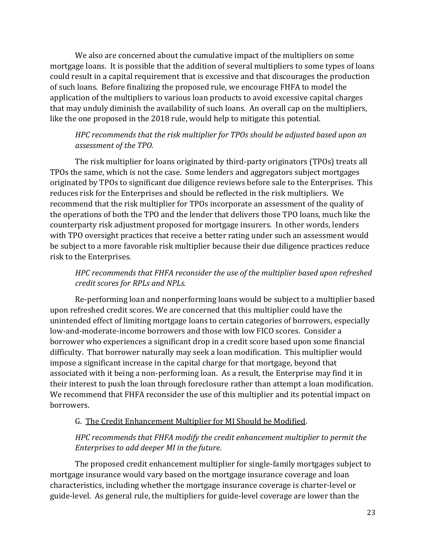We also are concerned about the cumulative impact of the multipliers on some mortgage loans. It is possible that the addition of several multipliers to some types of loans could result in a capital requirement that is excessive and that discourages the production of such loans. Before finalizing the proposed rule, we encourage FHFA to model the application of the multipliers to various loan products to avoid excessive capital charges that may unduly diminish the availability of such loans. An overall cap on the multipliers, like the one proposed in the 2018 rule, would help to mitigate this potential.

### *HPC recommends that the risk multiplier for TPOs should be adjusted based upon an assessment of the TPO.*

The risk multiplier for loans originated by third-party originators (TPOs) treats all TPOs the same, which is not the case. Some lenders and aggregators subject mortgages originated by TPOs to significant due diligence reviews before sale to the Enterprises. This reduces risk for the Enterprises and should be reflected in the risk multipliers. We recommend that the risk multiplier for TPOs incorporate an assessment of the quality of the operations of both the TPO and the lender that delivers those TPO loans, much like the counterparty risk adjustment proposed for mortgage insurers. In other words, lenders with TPO oversight practices that receive a better rating under such an assessment would be subject to a more favorable risk multiplier because their due diligence practices reduce risk to the Enterprises.

# *HPC recommends that FHFA reconsider the use of the multiplier based upon refreshed credit scores for RPLs and NPLs.*

Re-performing loan and nonperforming loans would be subject to a multiplier based upon refreshed credit scores. We are concerned that this multiplier could have the unintended effect of limiting mortgage loans to certain categories of borrowers, especially low-and-moderate-income borrowers and those with low FICO scores. Consider a borrower who experiences a significant drop in a credit score based upon some financial difficulty. That borrower naturally may seek a loan modification. This multiplier would impose a significant increase in the capital charge for that mortgage, beyond that associated with it being a non-performing loan. As a result, the Enterprise may find it in their interest to push the loan through foreclosure rather than attempt a loan modification. We recommend that FHFA reconsider the use of this multiplier and its potential impact on borrowers.

#### G. The Credit Enhancement Multiplier for MI Should be Modified.

# *HPC recommends that FHFA modify the credit enhancement multiplier to permit the Enterprises to add deeper MI in the future.*

The proposed credit enhancement multiplier for single-family mortgages subject to mortgage insurance would vary based on the mortgage insurance coverage and loan characteristics, including whether the mortgage insurance coverage is charter-level or guide-level. As general rule, the multipliers for guide-level coverage are lower than the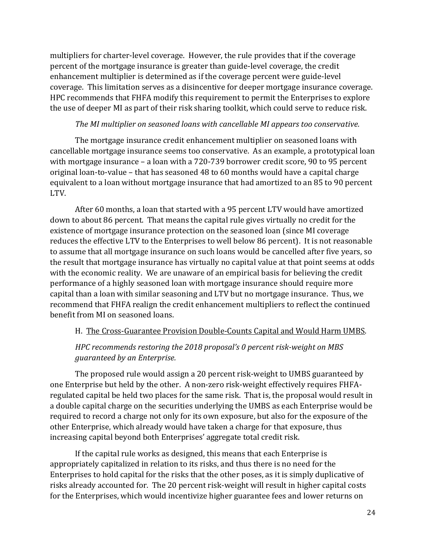multipliers for charter-level coverage. However, the rule provides that if the coverage percent of the mortgage insurance is greater than guide-level coverage, the credit enhancement multiplier is determined as if the coverage percent were guide-level coverage. This limitation serves as a disincentive for deeper mortgage insurance coverage. HPC recommends that FHFA modify this requirement to permit the Enterprises to explore the use of deeper MI as part of their risk sharing toolkit, which could serve to reduce risk.

### *The MI multiplier on seasoned loans with cancellable MI appears too conservative.*

The mortgage insurance credit enhancement multiplier on seasoned loans with cancellable mortgage insurance seems too conservative. As an example, a prototypical loan with mortgage insurance – a loan with a 720-739 borrower credit score, 90 to 95 percent original loan-to-value – that has seasoned 48 to 60 months would have a capital charge equivalent to a loan without mortgage insurance that had amortized to an 85 to 90 percent LTV.

After 60 months, a loan that started with a 95 percent LTV would have amortized down to about 86 percent. That means the capital rule gives virtually no credit for the existence of mortgage insurance protection on the seasoned loan (since MI coverage reduces the effective LTV to the Enterprises to well below 86 percent). It is not reasonable to assume that all mortgage insurance on such loans would be cancelled after five years, so the result that mortgage insurance has virtually no capital value at that point seems at odds with the economic reality. We are unaware of an empirical basis for believing the credit performance of a highly seasoned loan with mortgage insurance should require more capital than a loan with similar seasoning and LTV but no mortgage insurance. Thus, we recommend that FHFA realign the credit enhancement multipliers to reflect the continued benefit from MI on seasoned loans.

# H. The Cross-Guarantee Provision Double-Counts Capital and Would Harm UMBS.

# *HPC recommends restoring the 2018 proposal's 0 percent risk-weight on MBS guaranteed by an Enterprise.*

The proposed rule would assign a 20 percent risk-weight to UMBS guaranteed by one Enterprise but held by the other. A non-zero risk-weight effectively requires FHFAregulated capital be held two places for the same risk. That is, the proposal would result in a double capital charge on the securities underlying the UMBS as each Enterprise would be required to record a charge not only for its own exposure, but also for the exposure of the other Enterprise, which already would have taken a charge for that exposure, thus increasing capital beyond both Enterprises' aggregate total credit risk.

If the capital rule works as designed, this means that each Enterprise is appropriately capitalized in relation to its risks, and thus there is no need for the Enterprises to hold capital for the risks that the other poses, as it is simply duplicative of risks already accounted for. The 20 percent risk-weight will result in higher capital costs for the Enterprises, which would incentivize higher guarantee fees and lower returns on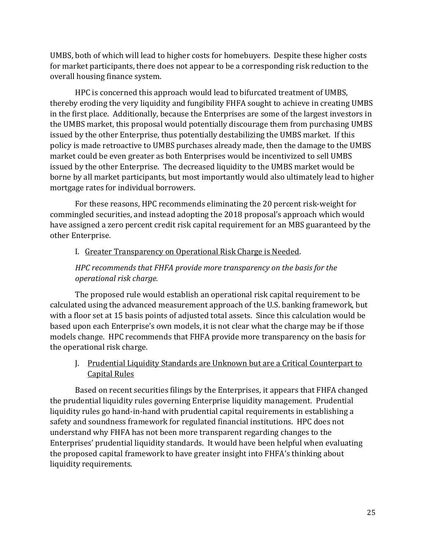UMBS, both of which will lead to higher costs for homebuyers. Despite these higher costs for market participants, there does not appear to be a corresponding risk reduction to the overall housing finance system.

HPC is concerned this approach would lead to bifurcated treatment of UMBS, thereby eroding the very liquidity and fungibility FHFA sought to achieve in creating UMBS in the first place. Additionally, because the Enterprises are some of the largest investors in the UMBS market, this proposal would potentially discourage them from purchasing UMBS issued by the other Enterprise, thus potentially destabilizing the UMBS market. If this policy is made retroactive to UMBS purchases already made, then the damage to the UMBS market could be even greater as both Enterprises would be incentivized to sell UMBS issued by the other Enterprise. The decreased liquidity to the UMBS market would be borne by all market participants, but most importantly would also ultimately lead to higher mortgage rates for individual borrowers.

For these reasons, HPC recommends eliminating the 20 percent risk-weight for commingled securities, and instead adopting the 2018 proposal's approach which would have assigned a zero percent credit risk capital requirement for an MBS guaranteed by the other Enterprise.

### I. Greater Transparency on Operational Risk Charge is Needed.

# *HPC recommends that FHFA provide more transparency on the basis for the operational risk charge.*

The proposed rule would establish an operational risk capital requirement to be calculated using the advanced measurement approach of the U.S. banking framework, but with a floor set at 15 basis points of adjusted total assets. Since this calculation would be based upon each Enterprise's own models, it is not clear what the charge may be if those models change. HPC recommends that FHFA provide more transparency on the basis for the operational risk charge.

J. Prudential Liquidity Standards are Unknown but are a Critical Counterpart to Capital Rules

Based on recent securities filings by the Enterprises, it appears that FHFA changed the prudential liquidity rules governing Enterprise liquidity management. Prudential liquidity rules go hand-in-hand with prudential capital requirements in establishing a safety and soundness framework for regulated financial institutions. HPC does not understand why FHFA has not been more transparent regarding changes to the Enterprises' prudential liquidity standards. It would have been helpful when evaluating the proposed capital framework to have greater insight into FHFA's thinking about liquidity requirements.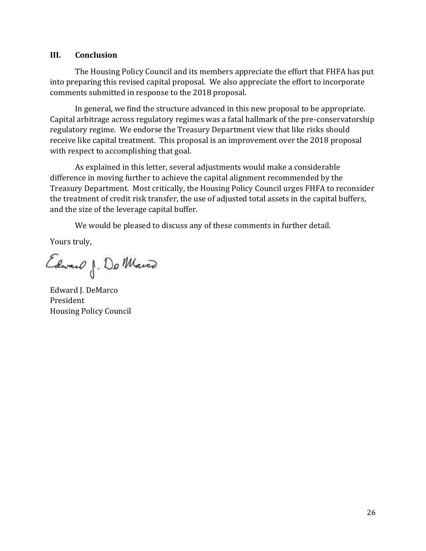#### **III. Conclusion**

The Housing Policy Council and its members appreciate the effort that FHFA has put into preparing this revised capital proposal. We also appreciate the effort to incorporate comments submitted in response to the 2018 proposal.

In general, we find the structure advanced in this new proposal to be appropriate. Capital arbitrage across regulatory regimes was a fatal hallmark of the pre-conservatorship regulatory regime. We endorse the Treasury Department view that like risks should receive like capital treatment. This proposal is an improvement over the 2018 proposal with respect to accomplishing that goal.

As explained in this letter, several adjustments would make a considerable difference in moving further to achieve the capital alignment recommended by the Treasury Department. Most critically, the Housing Policy Council urges FHFA to reconsider the treatment of credit risk transfer, the use of adjusted total assets in the capital buffers, and the size of the leverage capital buffer.

We would be pleased to discuss any of these comments in further detail.

Yours truly,

Edward J. Do Marco

Edward I. DeMarco President Housing Policy Council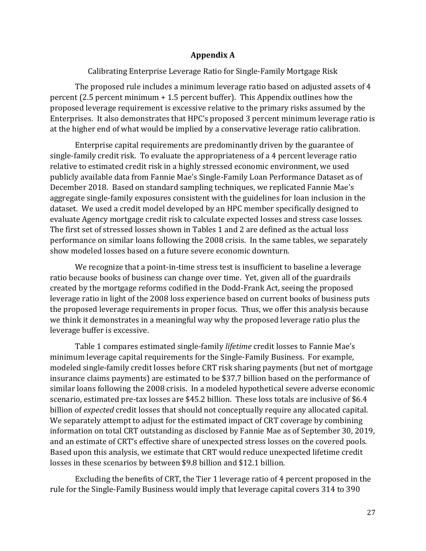#### **Appendix A**

Calibrating Enterprise Leverage Ratio for Single-Family Mortgage Risk

The proposed rule includes a minimum leverage ratio based on adjusted assets of 4 percent (2.5 percent minimum + 1.5 percent buffer). This Appendix outlines how the proposed leverage requirement is excessive relative to the primary risks assumed by the Enterprises. It also demonstrates that HPC's proposed 3 percent minimum leverage ratio is at the higher end of what would be implied by a conservative leverage ratio calibration.

Enterprise capital requirements are predominantly driven by the guarantee of single-family credit risk. To evaluate the appropriateness of a 4 percent leverage ratio relative to estimated credit risk in a highly stressed economic environment, we used publicly available data from Fannie Mae's Single-Family Loan Performance Dataset as of December 2018. Based on standard sampling techniques, we replicated Fannie Mae's aggregate single-family exposures consistent with the guidelines for loan inclusion in the dataset. We used a credit model developed by an HPC member specifically designed to evaluate Agency mortgage credit risk to calculate expected losses and stress case losses. The first set of stressed losses shown in Tables 1 and 2 are defined as the actual loss performance on similar loans following the 2008 crisis. In the same tables, we separately show modeled losses based on a future severe economic downturn.

We recognize that a point-in-time stress test is insufficient to baseline a leverage ratio because books of business can change over time. Yet, given all of the guardrails created by the mortgage reforms codified in the Dodd-Frank Act, seeing the proposed leverage ratio in light of the 2008 loss experience based on current books of business puts the proposed leverage requirements in proper focus. Thus, we offer this analysis because we think it demonstrates in a meaningful way why the proposed leverage ratio plus the leverage buffer is excessive.

Table 1 compares estimated single-family *lifetime* credit losses to Fannie Mae's minimum leverage capital requirements for the Single-Family Business. For example, modeled single-family credit losses before CRT risk sharing payments (but net of mortgage insurance claims payments) are estimated to be \$37.7 billion based on the performance of similar loans following the 2008 crisis. In a modeled hypothetical severe adverse economic scenario, estimated pre-tax losses are \$45.2 billion. These loss totals are inclusive of \$6.4 billion of *expected* credit losses that should not conceptually require any allocated capital. We separately attempt to adjust for the estimated impact of CRT coverage by combining information on total CRT outstanding as disclosed by Fannie Mae as of September 30, 2019, and an estimate of CRT's effective share of unexpected stress losses on the covered pools. Based upon this analysis, we estimate that CRT would reduce unexpected lifetime credit losses in these scenarios by between \$9.8 billion and \$12.1 billion.

Excluding the benefits of CRT, the Tier 1 leverage ratio of 4 percent proposed in the rule for the Single-Family Business would imply that leverage capital covers 314 to 390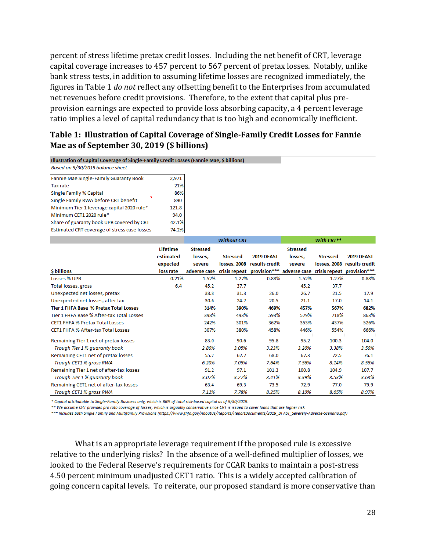percent of stress lifetime pretax credit losses. Including the net benefit of CRT, leverage capital coverage increases to 457 percent to 567 percent of pretax losses. Notably, unlike bank stress tests, in addition to assuming lifetime losses are recognized immediately, the figures in Table 1 *do not* reflect any offsetting benefit to the Enterprises from accumulated net revenues before credit provisions. Therefore, to the extent that capital plus preprovision earnings are expected to provide loss absorbing capacity, a 4 percent leverage ratio implies a level of capital redundancy that is too high and economically inefficient.

### **Table 1: Illustration of Capital Coverage of Single-Family Credit Losses for Fannie Mae as of September 30, 2019 (\$ billions)**

Illustration of Capital Coverage of Single-Family Credit Losses (Fannie Mae, \$ billions)

Based on 9/30/2019 balance sheet

| Fannie Mae Single-Family Guaranty Book       | 2,971 |
|----------------------------------------------|-------|
| <b>Tax rate</b>                              | 21%   |
| <b>Single Family % Capital</b>               | 86%   |
| Single Family RWA before CRT benefit         | 890   |
| Minimum Tier 1 leverage capital 2020 rule*   | 121.8 |
| Minimum CET1 2020 rule*                      | 94.0  |
| Share of guaranty book UPB covered by CRT    | 42.1% |
| Estimated CRT coverage of stress case losses | 74.2% |
|                                              |       |

|                                               |           |                 | <b>Without CRT</b> |                                                                    |                 | With CRT**      |                             |
|-----------------------------------------------|-----------|-----------------|--------------------|--------------------------------------------------------------------|-----------------|-----------------|-----------------------------|
|                                               | Lifetime  | <b>Stressed</b> |                    |                                                                    | <b>Stressed</b> |                 |                             |
|                                               | estimated | losses.         | <b>Stressed</b>    | 2019 DFAST                                                         | losses.         | <b>Stressed</b> | 2019 DFAST                  |
|                                               | expected  | severe          |                    | losses, 2008 results credit                                        | severe          |                 | losses, 2008 results credit |
| <b>\$</b> billions                            | loss rate | adverse case    |                    | crisis repeat provision*** adverse case crisis repeat provision*** |                 |                 |                             |
| Losses % UPB                                  | 0.21%     | 1.52%           | 1.27%              | 0.88%                                                              | 1.52%           | 1.27%           | 0.88%                       |
| Total losses, gross                           | 6.4       | 45.2            | 37.7               |                                                                    | 45.2            | 37.7            |                             |
| Unexpected net losses, pretax                 |           | 38.8            | 31.3               | 26.0                                                               | 26.7            | 21.5            | 17.9                        |
| Unexpected net losses, after tax              |           | 30.6            | 24.7               | 20.5                                                               | 21.1            | 17.0            | 14.1                        |
| <b>Tier 1 FHFA Base % Pretax Total Losses</b> |           | 314%            | 390%               | 469%                                                               | 457%            | 567%            | 682%                        |
| Tier 1 FHFA Base % After-tax Total Losses     |           | 398%            | 493%               | 593%                                                               | 579%            | 718%            | 863%                        |
| <b>CET1 FHFA % Pretax Total Losses</b>        |           | 242%            | 301%               | 362%                                                               | 353%            | 437%            | 526%                        |
| <b>CET1 FHFA % After-tax Total Losses</b>     |           | 307%            | 380%               | 458%                                                               | 446%            | 554%            | 666%                        |
| Remaining Tier 1 net of pretax losses         |           | 83.0            | 90.6               | 95.8                                                               | 95.2            | 100.3           | 104.0                       |
| Trough Tier 1% guaranty book                  |           | 2.80%           | 3.05%              | 3.23%                                                              | 3.20%           | 3.38%           | 3.50%                       |
| Remaining CET1 net of pretax losses           |           | 55.2            | 62.7               | 68.0                                                               | 67.3            | 72.5            | 76.1                        |
| Trough CET1 % gross RWA                       |           | 6.20%           | 7.05%              | 7.64%                                                              | 7.56%           | 8.14%           | 8.55%                       |
| Remaining Tier 1 net of after-tax losses      |           | 91.2            | 97.1               | 101.3                                                              | 100.8           | 104.9           | 107.7                       |
| Trough Tier 1% guaranty book                  |           | 3.07%           | 3.27%              | 3.41%                                                              | 3.39%           | 3.53%           | 3.63%                       |
| Remaining CET1 net of after-tax losses        |           | 63.4            | 69.3               | 73.5                                                               | 72.9            | 77.0            | 79.9                        |
| Trough CET1 % gross RWA                       |           | 7.12%           | 7.78%              | 8.25%                                                              | 8.19%           | 8.65%           | 8.97%                       |

\* Capital attributable to Single-Family Business only, which is 86% of total risk-based capital as of 9/30/2019.

\*\* We assume CRT provides pro rata coverage of losses, which is arguably conservative since CRT is issued to cover loans that are higher risk.

\*\*\* Includes both Single Family and Multifamily Provisions (https://www.fhfa.gov/AboutUs/Reports/ReportDocuments/2019\_DFAST\_Severely-Adverse-Scenario.pdf)

What is an appropriate leverage requirement if the proposed rule is excessive relative to the underlying risks? In the absence of a well-defined multiplier of losses, we looked to the Federal Reserve's requirements for CCAR banks to maintain a post-stress 4.50 percent minimum unadjusted CET1 ratio. This is a widely accepted calibration of going concern capital levels. To reiterate, our proposed standard is more conservative than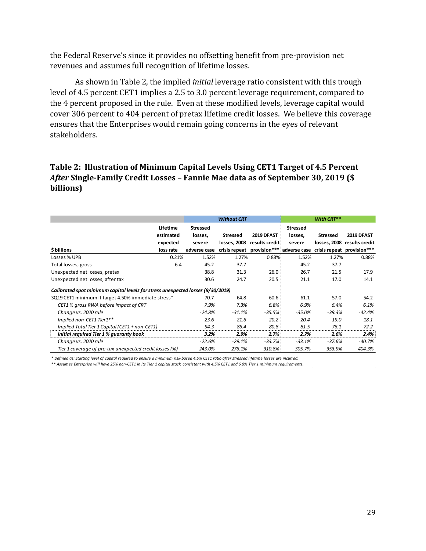the Federal Reserve's since it provides no offsetting benefit from pre-provision net revenues and assumes full recognition of lifetime losses.

As shown in Table 2, the implied *initial* leverage ratio consistent with this trough level of 4.5 percent CET1 implies a 2.5 to 3.0 percent leverage requirement, compared to the 4 percent proposed in the rule. Even at these modified levels, leverage capital would cover 306 percent to 404 percent of pretax lifetime credit losses. We believe this coverage ensures that the Enterprises would remain going concerns in the eyes of relevant stakeholders.

# **Table 2: Illustration of Minimum Capital Levels Using CET1 Target of 4.5 Percent**  *After* **Single-Family Credit Losses – Fannie Mae data as of September 30, 2019 (\$ billions)**

|                                                                                 |                       |                            | <b>Without CRT</b> |                                         |                            | With CRT** |                             |
|---------------------------------------------------------------------------------|-----------------------|----------------------------|--------------------|-----------------------------------------|----------------------------|------------|-----------------------------|
|                                                                                 | Lifetime<br>estimated | <b>Stressed</b><br>losses, | <b>Stressed</b>    | <b>2019 DFAST</b>                       | <b>Stressed</b><br>losses, | Stressed   | 2019 DFAST                  |
|                                                                                 | expected              | severe                     | losses, 2008       | results credit                          | severe                     |            | losses, 2008 results credit |
| \$billions                                                                      | loss rate             | adverse case               |                    | crisis repeat provision*** adverse case |                            |            | crisis repeat provision***  |
| Losses % UPB                                                                    | 0.21%                 | 1.52%                      | 1.27%              | 0.88%                                   | 1.52%                      | 1.27%      | 0.88%                       |
| Total losses, gross                                                             | 6.4                   | 45.2                       | 37.7               |                                         | 45.2                       | 37.7       |                             |
| Unexpected net losses, pretax                                                   |                       | 38.8                       | 31.3               | 26.0                                    | 26.7                       | 21.5       | 17.9                        |
| Unexpected net losses, after tax                                                |                       | 30.6                       | 24.7               | 20.5                                    | 21.1                       | 17.0       | 14.1                        |
| Calibrated spot minimum capital levels for stress unexpected losses (9/30/2019) |                       |                            |                    |                                         |                            |            |                             |
| 3Q19 CET1 minimum if target 4.50% immediate stress*                             |                       | 70.7                       | 64.8               | 60.6                                    | 61.1                       | 57.0       | 54.2                        |
| CET1 % aross RWA before impact of CRT                                           |                       | 7.9%                       | 7.3%               | 6.8%                                    | 6.9%                       | 6.4%       | 6.1%                        |
| Change vs. 2020 rule                                                            |                       | -24.8%                     | $-31.1%$           | $-35.5%$                                | $-35.0\%$                  | $-39.3%$   | $-42.4%$                    |
| Implied non-CET1 Tier1**                                                        |                       | 23.6                       | 21.6               | 20.2                                    | 20.4                       | 19.0       | 18.1                        |
| Implied Total Tier 1 Capital (CET1 + non-CET1)                                  |                       | 94.3                       | 86.4               | 80.8                                    | 81.5                       | 76.1       | 72.2                        |
| Initial required Tier 1 % guaranty book                                         |                       | 3.2%                       | 2.9%               | 2.7%                                    | 2.7%                       | 2.6%       | 2.4%                        |
| Change vs. 2020 rule                                                            |                       | $-22.6%$                   | $-29.1%$           | $-33.7%$                                | $-33.1%$                   | $-37.6%$   | $-40.7\%$                   |
| Tier 1 coverage of pre-tax unexpected credit losses (%)                         |                       | 243.0%                     | 276.1%             | 310.8%                                  | 305.7%                     | 353.9%     | 404.3%                      |

*\* Defined as: Starting level of capital required to ensure a minimum risk-based 4.5% CET1 ratio after stressed lifetime losses are incurred.* 

*\*\* Assumes Enterprise will have 25% non-CET1 in its Tier 1 capital stack, consistent with 4.5% CET1 and 6.0% Tier 1 minimum requirements.*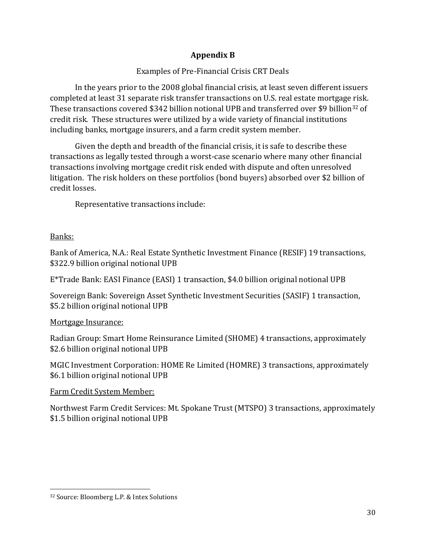# **Appendix B**

# Examples of Pre-Financial Crisis CRT Deals

In the years prior to the 2008 global financial crisis, at least seven different issuers completed at least 31 separate risk transfer transactions on U.S. real estate mortgage risk. These transactions covered \$342 billion notional UPB and transferred over \$9 billion<sup>32</sup> of credit risk. These structures were utilized by a wide variety of financial institutions including banks, mortgage insurers, and a farm credit system member.

Given the depth and breadth of the financial crisis, it is safe to describe these transactions as legally tested through a worst-case scenario where many other financial transactions involving mortgage credit risk ended with dispute and often unresolved litigation. The risk holders on these portfolios (bond buyers) absorbed over \$2 billion of credit losses.

Representative transactions include:

# Banks:

Bank of America, N.A.: Real Estate Synthetic Investment Finance (RESIF) 19 transactions, \$322.9 billion original notional UPB

E\*Trade Bank: EASI Finance (EASI) 1 transaction, \$4.0 billion original notional UPB

Sovereign Bank: Sovereign Asset Synthetic Investment Securities (SASIF) 1 transaction, \$5.2 billion original notional UPB

# Mortgage Insurance:

Radian Group: Smart Home Reinsurance Limited (SHOME) 4 transactions, approximately \$2.6 billion original notional UPB

MGIC Investment Corporation: HOME Re Limited (HOMRE) 3 transactions, approximately \$6.1 billion original notional UPB

# Farm Credit System Member:

Northwest Farm Credit Services: Mt. Spokane Trust (MTSPO) 3 transactions, approximately \$1.5 billion original notional UPB

<sup>32</sup> Source: Bloomberg L.P. & Intex Solutions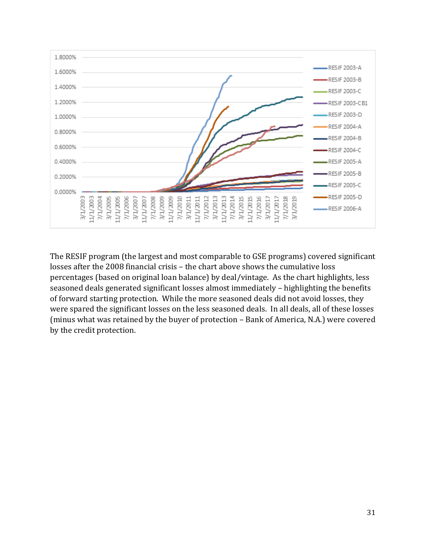

The RESIF program (the largest and most comparable to GSE programs) covered significant losses after the 2008 financial crisis – the chart above shows the cumulative loss percentages (based on original loan balance) by deal/vintage. As the chart highlights, less seasoned deals generated significant losses almost immediately – highlighting the benefits of forward starting protection. While the more seasoned deals did not avoid losses, they were spared the significant losses on the less seasoned deals. In all deals, all of these losses (minus what was retained by the buyer of protection – Bank of America, N.A.) were covered by the credit protection.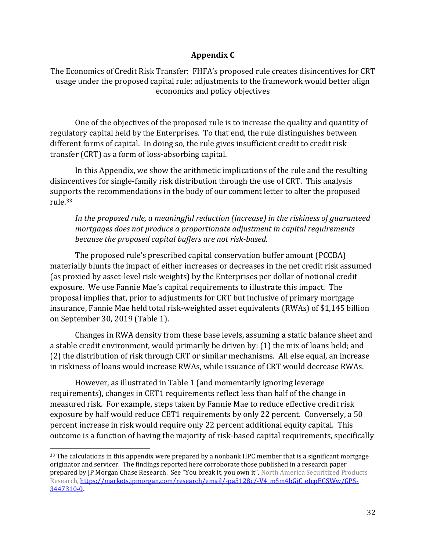#### **Appendix C**

The Economics of Credit Risk Transfer: FHFA's proposed rule creates disincentives for CRT usage under the proposed capital rule; adjustments to the framework would better align economics and policy objectives

One of the objectives of the proposed rule is to increase the quality and quantity of regulatory capital held by the Enterprises. To that end, the rule distinguishes between different forms of capital. In doing so, the rule gives insufficient credit to credit risk transfer (CRT) as a form of loss-absorbing capital.

In this Appendix, we show the arithmetic implications of the rule and the resulting disincentives for single-family risk distribution through the use of CRT. This analysis supports the recommendations in the body of our comment letter to alter the proposed rule. 33

*In the proposed rule, a meaningful reduction (increase) in the riskiness of guaranteed mortgages does not produce a proportionate adjustment in capital requirements because the proposed capital buffers are not risk-based.*

The proposed rule's prescribed capital conservation buffer amount (PCCBA) materially blunts the impact of either increases or decreases in the net credit risk assumed (as proxied by asset-level risk-weights) by the Enterprises per dollar of notional credit exposure. We use Fannie Mae's capital requirements to illustrate this impact. The proposal implies that, prior to adjustments for CRT but inclusive of primary mortgage insurance, Fannie Mae held total risk-weighted asset equivalents (RWAs) of \$1,145 billion on September 30, 2019 (Table 1).

Changes in RWA density from these base levels, assuming a static balance sheet and a stable credit environment, would primarily be driven by: (1) the mix of loans held; and (2) the distribution of risk through CRT or similar mechanisms. All else equal, an increase in riskiness of loans would increase RWAs, while issuance of CRT would decrease RWAs.

However, as illustrated in Table 1 (and momentarily ignoring leverage requirements), changes in CET1 requirements reflect less than half of the change in measured risk. For example, steps taken by Fannie Mae to reduce effective credit risk exposure by half would reduce CET1 requirements by only 22 percent. Conversely, a 50 percent increase in risk would require only 22 percent additional equity capital. This outcome is a function of having the majority of risk-based capital requirements, specifically

 $33$  The calculations in this appendix were prepared by a nonbank HPC member that is a significant mortgage originator and servicer. The findings reported here corroborate those published in a research paper prepared by JP Morgan Chase Research. See "You break it, you own it", North America Securitized Products Research[, https://markets.jpmorgan.com/research/email/-pa5128c/-V4\\_mSm4bGjC\\_eIcpEGSWw/GPS-](https://markets.jpmorgan.com/research/email/-pa5128c/-V4_mSm4bGjC_eIcpEGSWw/GPS-3447310-0)[3447310-0.](https://markets.jpmorgan.com/research/email/-pa5128c/-V4_mSm4bGjC_eIcpEGSWw/GPS-3447310-0)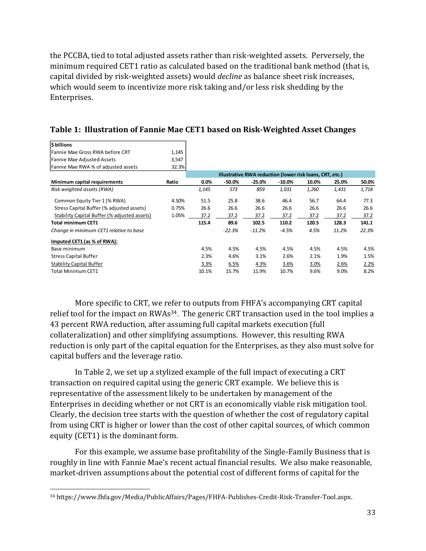the PCCBA, tied to total adjusted assets rather than risk-weighted assets. Perversely, the minimum required CET1 ratio as calculated based on the traditional bank method (that is, capital divided by risk-weighted assets) would *decline* as balance sheet risk increases, which would seem to incentivize more risk taking and/or less risk shedding by the Enterprises.

| <b>S</b> billions                            |       |                                                          |          |          |           |       |       |       |
|----------------------------------------------|-------|----------------------------------------------------------|----------|----------|-----------|-------|-------|-------|
| lFannie Mae Gross RWA before CRT             | 1,145 |                                                          |          |          |           |       |       |       |
| Fannie Mae Adjusted Assets                   | 3,547 |                                                          |          |          |           |       |       |       |
| Fannie Mae RWA % of adjusted assets          | 32.3% |                                                          |          |          |           |       |       |       |
|                                              |       | Illustrative RWA reduction (lower risk loans, CRT, etc.) |          |          |           |       |       |       |
| Minimum capital requirements                 | Ratio | $0.0\%$                                                  | -50.0%   | $-25.0%$ | $-10.0\%$ | 10.0% | 25.0% | 50.0% |
| Risk weighted assets (RWA)                   |       | 1,145                                                    | 573      | 859      | 1,031     | 1,260 | 1,431 | 1,718 |
| Common Equity Tier 1 (% RWA)                 | 4.50% | 51.5                                                     | 25.8     | 38.6     | 46.4      | 56.7  | 64.4  | 77.3  |
| Stress Capital Buffer (% adjusted assets)    | 0.75% | 26.6                                                     | 26.6     | 26.6     | 26.6      | 26.6  | 26.6  | 26.6  |
| Stability Capital Buffer (% adjusted assets) | 1.05% | 37.2                                                     | 37.2     | 37.2     | 37.2      | 37.2  | 37.2  | 37.2  |
| <b>Total minimum CET1</b>                    |       | 115.4                                                    | 89.6     | 102.5    | 110.2     | 120.5 | 128.3 | 141.1 |
| Change in minimum CET1 relative to base      |       |                                                          | $-22.3%$ | $-11.2%$ | -4.5%     | 4.5%  | 11.2% | 22.3% |
| Imputed CET1 (as % of RWA):                  |       |                                                          |          |          |           |       |       |       |
| Base minimum                                 |       | 4.5%                                                     | 4.5%     | 4.5%     | 4.5%      | 4.5%  | 4.5%  | 4.5%  |
| <b>Stress Capital Buffer</b>                 |       | 2.3%                                                     | 4.6%     | 3.1%     | 2.6%      | 2.1%  | 1.9%  | 1.5%  |
| <b>Stability Capital Buffer</b>              |       | 3.3%                                                     | 6.5%     | 4.3%     | 3.6%      | 3.0%  | 2.6%  | 2.2%  |
| <b>Total Minimum CET1</b>                    |       | 10.1%                                                    | 15.7%    | 11.9%    | 10.7%     | 9.6%  | 9.0%  | 8.2%  |

**Table 1: Illustration of Fannie Mae CET1 based on Risk-Weighted Asset Changes**

More specific to CRT, we refer to outputs from FHFA's accompanying CRT capital relief tool for the impact on RWAs<sup>34</sup>. The generic CRT transaction used in the tool implies a 43 percent RWA reduction, after assuming full capital markets execution (full collateralization) and other simplifying assumptions. However, this resulting RWA reduction is only part of the capital equation for the Enterprises, as they also must solve for capital buffers and the leverage ratio.

In Table 2, we set up a stylized example of the full impact of executing a CRT transaction on required capital using the generic CRT example. We believe this is representative of the assessment likely to be undertaken by management of the Enterprises in deciding whether or not CRT is an economically viable risk mitigation tool. Clearly, the decision tree starts with the question of whether the cost of regulatory capital from using CRT is higher or lower than the cost of other capital sources, of which common equity (CET1) is the dominant form.

For this example, we assume base profitability of the Single-Family Business that is roughly in line with Fannie Mae's recent actual financial results. We also make reasonable, market-driven assumptions about the potential cost of different forms of capital for the

<sup>34</sup> https://www.fhfa.gov/Media/PublicAffairs/Pages/FHFA-Publishes-Credit-Risk-Transfer-Tool.aspx.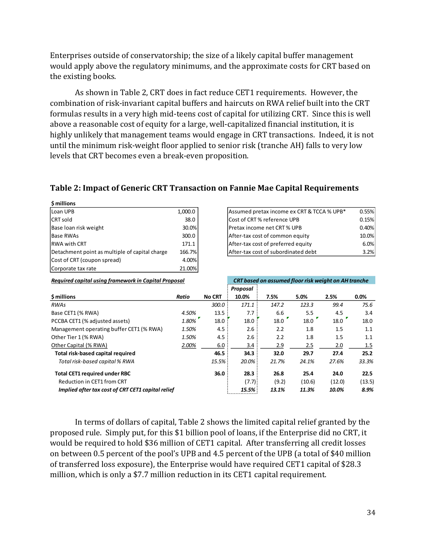Enterprises outside of conservatorship; the size of a likely capital buffer management would apply above the regulatory minimums, and the approximate costs for CRT based on the existing books.

As shown in Table 2, CRT does in fact reduce CET1 requirements. However, the combination of risk-invariant capital buffers and haircuts on RWA relief built into the CRT formulas results in a very high mid-teens cost of capital for utilizing CRT. Since this is well above a reasonable cost of equity for a large, well-capitalized financial institution, it is highly unlikely that management teams would engage in CRT transactions. Indeed, it is not until the minimum risk-weight floor applied to senior risk (tranche AH) falls to very low levels that CRT becomes even a break-even proposition.

#### **Table 2: Impact of Generic CRT Transaction on Fannie Mae Capital Requirements**

| \$ millions                                    |         |
|------------------------------------------------|---------|
| Loan UPB                                       | 1,000.0 |
| <b>CRT</b> sold                                | 38.0    |
| Base loan risk weight                          | 30.0%   |
| <b>Base RWAs</b>                               | 300.0   |
| <b>RWA with CRT</b>                            | 171.1   |
| Detachment point as multiple of capital charge | 166.7%  |
| Cost of CRT (coupon spread)                    | 4.00%   |
| Corporate tax rate                             | 21.00%  |

| Loan UPB                                       | 1,000.0 | Assumed pretax income ex CRT & TCCA % UPB* | 0.55% |
|------------------------------------------------|---------|--------------------------------------------|-------|
| CRT sold                                       | 38.0    | Cost of CRT% reference UPB                 | 0.15% |
| Base loan risk weight                          | 30.0%   | Pretax income net CRT % UPB                | 0.40% |
| Base RWAs                                      | 300.0   | After-tax cost of common equity            | 10.0% |
| RWA with CRT                                   | 171.1   | After-tax cost of preferred equity         | 6.0%  |
| Detachment point as multiple of capital charge | 166.7%  | After-tax cost of subordinated debt        | 3.2%  |

| Required capital using framework in Capital Proposal |       |               | CRT based on assumed floor risk weight on AH tranche |       |        |        |        |  |
|------------------------------------------------------|-------|---------------|------------------------------------------------------|-------|--------|--------|--------|--|
|                                                      |       |               | Proposal                                             |       |        |        |        |  |
| \$ millions                                          | Ratio | <b>No CRT</b> | 10.0%                                                | 7.5%  | 5.0%   | 2.5%   | 0.0%   |  |
| <b>RWAs</b>                                          |       | 300.0         | 171.1                                                | 147.2 | 123.3  | 99.4   | 75.6   |  |
| Base CET1 (% RWA)                                    | 4.50% | 13.5          | 7.7                                                  | 6.6   | 5.5    | 4.5    | 3.4    |  |
| PCCBA CET1 (% adjusted assets)                       | 1.80% | 18.0          | 18.0                                                 | 18.0  | 18.0   | 18.0   | 18.0   |  |
| Management operating buffer CET1 (% RWA)             | 1.50% | 4.5           | 2.6                                                  | 2.2   | 1.8    | 1.5    | 1.1    |  |
| Other Tier 1 (% RWA)                                 | 1.50% | 4.5           | 2.6                                                  | 2.2   | 1.8    | 1.5    | 1.1    |  |
| Other Capital (% RWA)                                | 2.00% | 6.0           | 3.4                                                  | 2.9   | 2.5    | 2.0    | 1.5    |  |
| Total risk-based capital required                    |       | 46.5          | 34.3                                                 | 32.0  | 29.7   | 27.4   | 25.2   |  |
| Total risk-based capital % RWA                       |       | 15.5%         | 20.0%                                                | 21.7% | 24.1%  | 27.6%  | 33.3%  |  |
| <b>Total CET1 required under RBC</b>                 |       | 36.0          | 28.3                                                 | 26.8  | 25.4   | 24.0   | 22.5   |  |
| Reduction in CET1 from CRT                           |       |               | (7.7)                                                | (9.2) | (10.6) | (12.0) | (13.5) |  |
| Implied after tax cost of CRT CET1 capital relief    |       |               | 15.5%                                                | 13.1% | 11.3%  | 10.0%  | 8.9%   |  |

In terms of dollars of capital, Table 2 shows the limited capital relief granted by the proposed rule. Simply put, for this \$1 billion pool of loans, if the Enterprise did no CRT, it would be required to hold \$36 million of CET1 capital. After transferring all credit losses on between 0.5 percent of the pool's UPB and 4.5 percent of the UPB (a total of \$40 million of transferred loss exposure), the Enterprise would have required CET1 capital of \$28.3 million, which is only a \$7.7 million reduction in its CET1 capital requirement.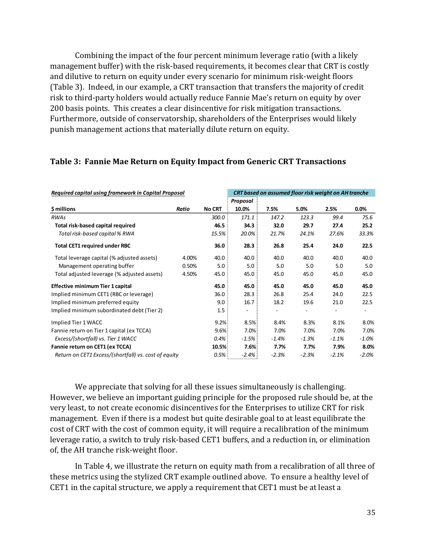Combining the impact of the four percent minimum leverage ratio (with a likely management buffer) with the risk-based requirements, it becomes clear that CRT is costly and dilutive to return on equity under every scenario for minimum risk-weight floors (Table 3). Indeed, in our example, a CRT transaction that transfers the majority of credit risk to third-party holders would actually reduce Fannie Mae's return on equity by over 200 basis points. This creates a clear disincentive for risk mitigation transactions. Furthermore, outside of conservatorship, shareholders of the Enterprises would likely punish management actions that materially dilute return on equity.

| Required capital using framework in Capital Proposal |       |               | CRT based on assumed floor risk weight on AH tranche |         |         |         |         |
|------------------------------------------------------|-------|---------------|------------------------------------------------------|---------|---------|---------|---------|
|                                                      |       |               | Proposal                                             |         |         |         |         |
| \$ millions                                          | Ratio | <b>No CRT</b> | 10.0%                                                | 7.5%    | 5.0%    | 2.5%    | 0.0%    |
| <b>RWAs</b>                                          |       | 300.0         | 171.1                                                | 147.2   | 123.3   | 99.4    | 75.6    |
| Total risk-based capital required                    |       | 46.5          | 34.3                                                 | 32.0    | 29.7    | 27.4    | 25.2    |
| Total risk-based capital % RWA                       |       | 15.5%         | 20.0%                                                | 21.7%   | 24.1%   | 27.6%   | 33.3%   |
| <b>Total CET1 required under RBC</b>                 |       | 36.0          | 28.3                                                 | 26.8    | 25.4    | 24.0    | 22.5    |
| Total leverage capital (% adjusted assets)           | 4.00% | 40.0          | 40.0                                                 | 40.0    | 40.0    | 40.0    | 40.0    |
| Management operating buffer                          | 0.50% | 5.0           | 5.0                                                  | 5.0     | 5.0     | 5.0     | 5.0     |
| Total adjusted leverage (% adjusted assets)          | 4.50% | 45.0          | 45.0                                                 | 45.0    | 45.0    | 45.0    | 45.0    |
| <b>Effective minimum Tier 1 capital</b>              |       | 45.0          | 45.0                                                 | 45.0    | 45.0    | 45.0    | 45.0    |
| Implied minimum CET1 (RBC or leverage)               |       | 36.0          | 28.3                                                 | 26.8    | 25.4    | 24.0    | 22.5    |
| Implied minimum preferred equity                     |       | 9.0           | 16.7                                                 | 18.2    | 19.6    | 21.0    | 22.5    |
| Implied minimum subordinated debt (Tier 2)           |       | 1.5           |                                                      |         |         |         |         |
| Implied Tier 1 WACC                                  |       | 9.2%          | 8.5%                                                 | 8.4%    | 8.3%    | 8.1%    | 8.0%    |
| Fannie return on Tier 1 capital (ex TCCA)            |       | 9.6%          | 7.0%                                                 | 7.0%    | 7.0%    | 7.0%    | 7.0%    |
| Excess/(shortfall) vs. Tier 1 WACC                   |       | 0.4%          | $-1.5%$                                              | $-1.4%$ | $-1.3%$ | $-1.1%$ | $-1.0%$ |
| Fannie return on CET1 (ex TCCA)                      |       | 10.5%         | 7.6%                                                 | 7.7%    | 7.7%    | 7.9%    | 8.0%    |
| Return on CET1 Excess/(shortfall) vs. cost of equity |       | 0.5%          | -2.4%                                                | $-2.3%$ | $-2.3%$ | $-2.1%$ | $-2.0%$ |

#### **Table 3: Fannie Mae Return on Equity Impact from Generic CRT Transactions**

We appreciate that solving for all these issues simultaneously is challenging. However, we believe an important guiding principle for the proposed rule should be, at the very least, to not create economic disincentives for the Enterprises to utilize CRT for risk management. Even if there is a modest but quite desirable goal to at least equilibrate the cost of CRT with the cost of common equity, it will require a recalibration of the minimum leverage ratio, a switch to truly risk-based CET1 buffers, and a reduction in, or elimination of, the AH tranche risk-weight floor.

In Table 4, we illustrate the return on equity math from a recalibration of all three of these metrics using the stylized CRT example outlined above. To ensure a healthy level of CET1 in the capital structure, we apply a requirement that CET1 must be at least a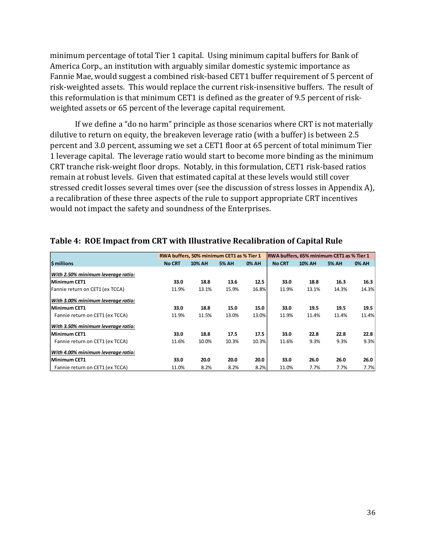minimum percentage of total Tier 1 capital. Using minimum capital buffers for Bank of America Corp., an institution with arguably similar domestic systemic importance as Fannie Mae, would suggest a combined risk-based CET1 buffer requirement of 5 percent of risk-weighted assets. This would replace the current risk-insensitive buffers. The result of this reformulation is that minimum CET1 is defined as the greater of 9.5 percent of riskweighted assets or 65 percent of the leverage capital requirement.

If we define a "do no harm" principle as those scenarios where CRT is not materially dilutive to return on equity, the breakeven leverage ratio (with a buffer) is between 2.5 percent and 3.0 percent, assuming we set a CET1 floor at 65 percent of total minimum Tier 1 leverage capital. The leverage ratio would start to become more binding as the minimum CRT tranche risk-weight floor drops. Notably, in this formulation, CET1 risk-based ratios remain at robust levels. Given that estimated capital at these levels would still cover stressed credit losses several times over (see the discussion of stress losses in Appendix A), a recalibration of these three aspects of the rule to support appropriate CRT incentives would not impact the safety and soundness of the Enterprises.

|                                    |               | RWA buffers, 50% minimum CET1 as % Tier 1 |              |       | RWA buffers, 65% minimum CET1 as % Tier 1 |               |              |              |
|------------------------------------|---------------|-------------------------------------------|--------------|-------|-------------------------------------------|---------------|--------------|--------------|
| <b>S</b> millions                  | <b>No CRT</b> | <b>10% AH</b>                             | <b>5% AH</b> | 0% AH | <b>No CRT</b>                             | <b>10% AH</b> | <b>5% AH</b> | <b>0% AH</b> |
| With 2.50% minimum leverage ratio: |               |                                           |              |       |                                           |               |              |              |
| Minimum CET1                       | 33.0          | 18.8                                      | 13.6         | 12.5  | 33.0                                      | 18.8          | 16.3         | 16.3         |
| Fannie return on CET1 (ex TCCA)    | 11.9%         | 13.1%                                     | 15.9%        | 16.8% | 11.9%                                     | 13.1%         | 14.3%        | 14.3%        |
| With 3.00% minimum leverage ratio: |               |                                           |              |       |                                           |               |              |              |
| Minimum CET1                       | 33.0          | 18.8                                      | 15.0         | 15.0  | 33.0                                      | 19.5          | 19.5         | 19.5         |
| Fannie return on CET1 (ex TCCA)    | 11.9%         | 11.5%                                     | 13.0%        | 13.0% | 11.9%                                     | 11.4%         | 11.4%        | 11.4%        |
| With 3.50% minimum leverage ratio: |               |                                           |              |       |                                           |               |              |              |
| Minimum CET1                       | 33.0          | 18.8                                      | 17.5         | 17.5  | 33.0                                      | 22.8          | 22.8         | 22.8         |
| Fannie return on CET1 (ex TCCA)    | 11.6%         | 10.0%                                     | 10.3%        | 10.3% | 11.6%                                     | 9.3%          | 9.3%         | 9.3%         |
| With 4.00% minimum leverage ratio: |               |                                           |              |       |                                           |               |              |              |
| Minimum CET1                       | 33.0          | 20.0                                      | 20.0         | 20.0  | 33.0                                      | 26.0          | 26.0         | 26.0         |
| Fannie return on CET1 (ex TCCA)    | 11.0%         | 8.2%                                      | 8.2%         | 8.2%  | 11.0%                                     | 7.7%          | 7.7%         | 7.7%         |

#### **Table 4: ROE Impact from CRT with Illustrative Recalibration of Capital Rule**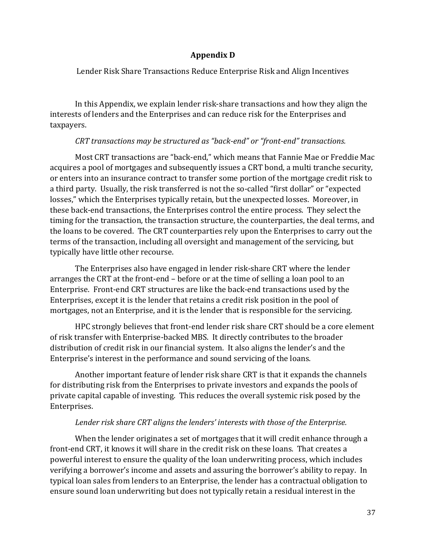#### **Appendix D**

Lender Risk Share Transactions Reduce Enterprise Risk and Align Incentives

In this Appendix, we explain lender risk-share transactions and how they align the interests of lenders and the Enterprises and can reduce risk for the Enterprises and taxpayers.

#### *CRT transactions may be structured as "back-end" or "front-end" transactions.*

Most CRT transactions are "back-end," which means that Fannie Mae or Freddie Mac acquires a pool of mortgages and subsequently issues a CRT bond, a multi tranche security, or enters into an insurance contract to transfer some portion of the mortgage credit risk to a third party. Usually, the risk transferred is not the so-called "first dollar" or "expected losses," which the Enterprises typically retain, but the unexpected losses. Moreover, in these back-end transactions, the Enterprises control the entire process. They select the timing for the transaction, the transaction structure, the counterparties, the deal terms, and the loans to be covered. The CRT counterparties rely upon the Enterprises to carry out the terms of the transaction, including all oversight and management of the servicing, but typically have little other recourse.

The Enterprises also have engaged in lender risk-share CRT where the lender arranges the CRT at the front-end – before or at the time of selling a loan pool to an Enterprise. Front-end CRT structures are like the back-end transactions used by the Enterprises, except it is the lender that retains a credit risk position in the pool of mortgages, not an Enterprise, and it is the lender that is responsible for the servicing.

HPC strongly believes that front-end lender risk share CRT should be a core element of risk transfer with Enterprise-backed MBS. It directly contributes to the broader distribution of credit risk in our financial system. It also aligns the lender's and the Enterprise's interest in the performance and sound servicing of the loans.

Another important feature of lender risk share CRT is that it expands the channels for distributing risk from the Enterprises to private investors and expands the pools of private capital capable of investing. This reduces the overall systemic risk posed by the Enterprises.

#### *Lender risk share CRT aligns the lenders' interests with those of the Enterprise.*

When the lender originates a set of mortgages that it will credit enhance through a front-end CRT, it knows it will share in the credit risk on these loans. That creates a powerful interest to ensure the quality of the loan underwriting process, which includes verifying a borrower's income and assets and assuring the borrower's ability to repay. In typical loan sales from lenders to an Enterprise, the lender has a contractual obligation to ensure sound loan underwriting but does not typically retain a residual interest in the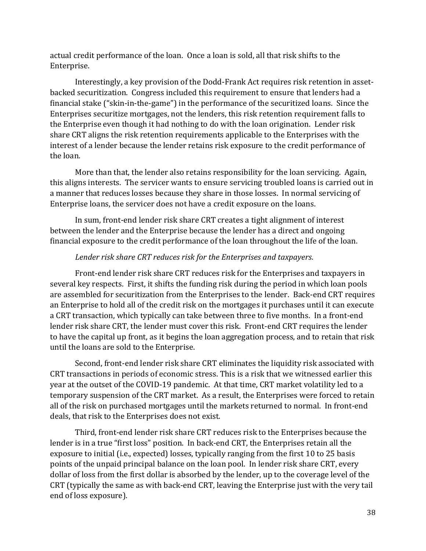actual credit performance of the loan. Once a loan is sold, all that risk shifts to the Enterprise.

Interestingly, a key provision of the Dodd-Frank Act requires risk retention in assetbacked securitization. Congress included this requirement to ensure that lenders had a financial stake ("skin-in-the-game") in the performance of the securitized loans. Since the Enterprises securitize mortgages, not the lenders, this risk retention requirement falls to the Enterprise even though it had nothing to do with the loan origination. Lender risk share CRT aligns the risk retention requirements applicable to the Enterprises with the interest of a lender because the lender retains risk exposure to the credit performance of the loan.

More than that, the lender also retains responsibility for the loan servicing. Again, this aligns interests. The servicer wants to ensure servicing troubled loans is carried out in a manner that reduces losses because they share in those losses. In normal servicing of Enterprise loans, the servicer does not have a credit exposure on the loans.

In sum, front-end lender risk share CRT creates a tight alignment of interest between the lender and the Enterprise because the lender has a direct and ongoing financial exposure to the credit performance of the loan throughout the life of the loan.

#### *Lender risk share CRT reduces risk for the Enterprises and taxpayers.*

Front-end lender risk share CRT reduces risk for the Enterprises and taxpayers in several key respects. First, it shifts the funding risk during the period in which loan pools are assembled for securitization from the Enterprises to the lender. Back-end CRT requires an Enterprise to hold all of the credit risk on the mortgages it purchases until it can execute a CRT transaction, which typically can take between three to five months. In a front-end lender risk share CRT, the lender must cover this risk. Front-end CRT requires the lender to have the capital up front, as it begins the loan aggregation process, and to retain that risk until the loans are sold to the Enterprise.

Second, front-end lender risk share CRT eliminates the liquidity risk associated with CRT transactions in periods of economic stress. This is a risk that we witnessed earlier this year at the outset of the COVID-19 pandemic. At that time, CRT market volatility led to a temporary suspension of the CRT market. As a result, the Enterprises were forced to retain all of the risk on purchased mortgages until the markets returned to normal. In front-end deals, that risk to the Enterprises does not exist.

Third, front-end lender risk share CRT reduces risk to the Enterprises because the lender is in a true "first loss" position. In back-end CRT, the Enterprises retain all the exposure to initial (i.e., expected) losses, typically ranging from the first 10 to 25 basis points of the unpaid principal balance on the loan pool. In lender risk share CRT, every dollar of loss from the first dollar is absorbed by the lender, up to the coverage level of the CRT (typically the same as with back-end CRT, leaving the Enterprise just with the very tail end of loss exposure).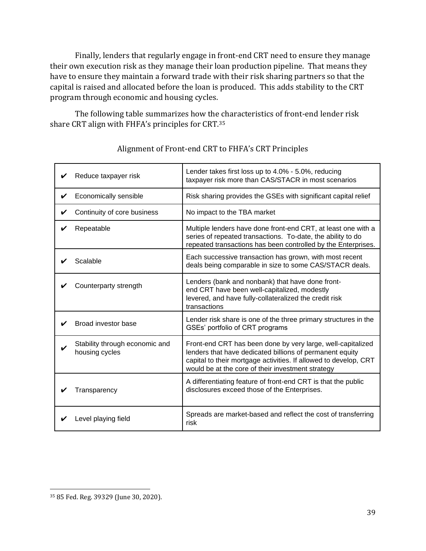Finally, lenders that regularly engage in front-end CRT need to ensure they manage their own execution risk as they manage their loan production pipeline. That means they have to ensure they maintain a forward trade with their risk sharing partners so that the capital is raised and allocated before the loan is produced. This adds stability to the CRT program through economic and housing cycles.

The following table summarizes how the characteristics of front-end lender risk share CRT align with FHFA's principles for CRT.<sup>35</sup>

| Reduce taxpayer risk                             | Lender takes first loss up to 4.0% - 5.0%, reducing<br>taxpayer risk more than CAS/STACR in most scenarios                                                                                                                                       |
|--------------------------------------------------|--------------------------------------------------------------------------------------------------------------------------------------------------------------------------------------------------------------------------------------------------|
| Economically sensible                            | Risk sharing provides the GSEs with significant capital relief                                                                                                                                                                                   |
| Continuity of core business                      | No impact to the TBA market                                                                                                                                                                                                                      |
| Repeatable                                       | Multiple lenders have done front-end CRT, at least one with a<br>series of repeated transactions. To-date, the ability to do<br>repeated transactions has been controlled by the Enterprises.                                                    |
| Scalable                                         | Each successive transaction has grown, with most recent<br>deals being comparable in size to some CAS/STACR deals.                                                                                                                               |
| Counterparty strength                            | Lenders (bank and nonbank) that have done front-<br>end CRT have been well-capitalized, modestly<br>levered, and have fully-collateralized the credit risk<br>transactions                                                                       |
| Broad investor base                              | Lender risk share is one of the three primary structures in the<br>GSEs' portfolio of CRT programs                                                                                                                                               |
| Stability through economic and<br>housing cycles | Front-end CRT has been done by very large, well-capitalized<br>lenders that have dedicated billions of permanent equity<br>capital to their mortgage activities. If allowed to develop, CRT<br>would be at the core of their investment strategy |
| Transparency                                     | A differentiating feature of front-end CRT is that the public<br>disclosures exceed those of the Enterprises.                                                                                                                                    |
| Level playing field                              | Spreads are market-based and reflect the cost of transferring<br>risk                                                                                                                                                                            |

# Alignment of Front-end CRT to FHFA's CRT Principles

<sup>35</sup> 85 Fed. Reg. 39329 (June 30, 2020).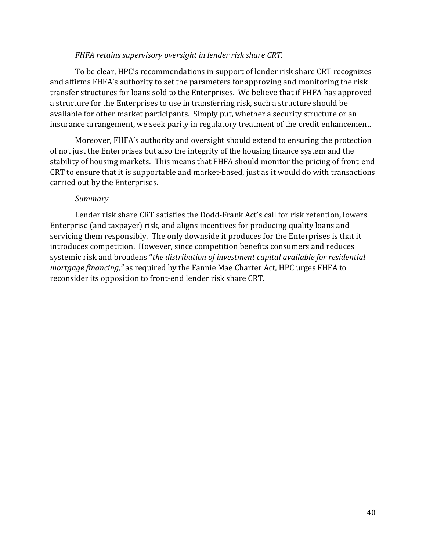#### *FHFA retains supervisory oversight in lender risk share CRT.*

To be clear, HPC's recommendations in support of lender risk share CRT recognizes and affirms FHFA's authority to set the parameters for approving and monitoring the risk transfer structures for loans sold to the Enterprises. We believe that if FHFA has approved a structure for the Enterprises to use in transferring risk, such a structure should be available for other market participants. Simply put, whether a security structure or an insurance arrangement, we seek parity in regulatory treatment of the credit enhancement.

Moreover, FHFA's authority and oversight should extend to ensuring the protection of not just the Enterprises but also the integrity of the housing finance system and the stability of housing markets. This means that FHFA should monitor the pricing of front-end CRT to ensure that it is supportable and market-based, just as it would do with transactions carried out by the Enterprises.

#### *Summary*

Lender risk share CRT satisfies the Dodd-Frank Act's call for risk retention, lowers Enterprise (and taxpayer) risk, and aligns incentives for producing quality loans and servicing them responsibly. The only downside it produces for the Enterprises is that it introduces competition. However, since competition benefits consumers and reduces systemic risk and broadens "*the distribution of investment capital available for residential mortgage financing,"* as required by the Fannie Mae Charter Act, HPC urges FHFA to reconsider its opposition to front-end lender risk share CRT.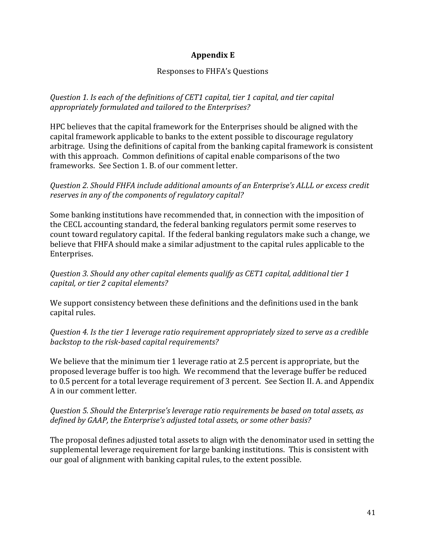### **Appendix E**

### Responses to FHFA's Questions

*Question 1. Is each of the definitions of CET1 capital, tier 1 capital, and tier capital appropriately formulated and tailored to the Enterprises?*

HPC believes that the capital framework for the Enterprises should be aligned with the capital framework applicable to banks to the extent possible to discourage regulatory arbitrage. Using the definitions of capital from the banking capital framework is consistent with this approach. Common definitions of capital enable comparisons of the two frameworks. See Section 1. B. of our comment letter.

### *Question 2. Should FHFA include additional amounts of an Enterprise's ALLL or excess credit reserves in any of the components of regulatory capital?*

Some banking institutions have recommended that, in connection with the imposition of the CECL accounting standard, the federal banking regulators permit some reserves to count toward regulatory capital. If the federal banking regulators make such a change, we believe that FHFA should make a similar adjustment to the capital rules applicable to the Enterprises.

*Question 3. Should any other capital elements qualify as CET1 capital, additional tier 1 capital, or tier 2 capital elements?*

We support consistency between these definitions and the definitions used in the bank capital rules.

*Question 4. Is the tier 1 leverage ratio requirement appropriately sized to serve as a credible backstop to the risk-based capital requirements?*

We believe that the minimum tier 1 leverage ratio at 2.5 percent is appropriate, but the proposed leverage buffer is too high. We recommend that the leverage buffer be reduced to 0.5 percent for a total leverage requirement of 3 percent. See Section II. A. and Appendix A in our comment letter.

### *Question 5. Should the Enterprise's leverage ratio requirements be based on total assets, as defined by GAAP, the Enterprise's adjusted total assets, or some other basis?*

The proposal defines adjusted total assets to align with the denominator used in setting the supplemental leverage requirement for large banking institutions. This is consistent with our goal of alignment with banking capital rules, to the extent possible.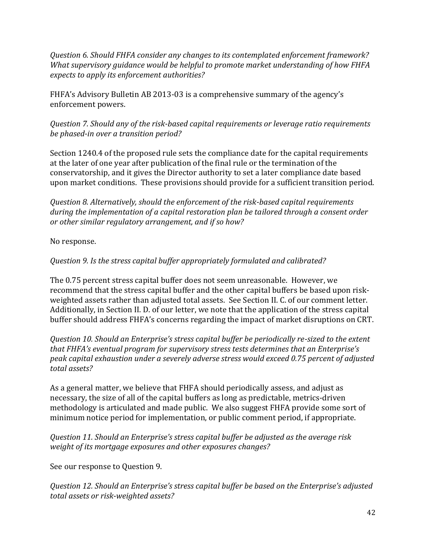*Question 6. Should FHFA consider any changes to its contemplated enforcement framework? What supervisory guidance would be helpful to promote market understanding of how FHFA expects to apply its enforcement authorities?*

FHFA's Advisory Bulletin AB 2013-03 is a comprehensive summary of the agency's enforcement powers.

*Question 7. Should any of the risk-based capital requirements or leverage ratio requirements be phased-in over a transition period?*

Section 1240.4 of the proposed rule sets the compliance date for the capital requirements at the later of one year after publication of the final rule or the termination of the conservatorship, and it gives the Director authority to set a later compliance date based upon market conditions. These provisions should provide for a sufficient transition period.

*Question 8. Alternatively, should the enforcement of the risk-based capital requirements during the implementation of a capital restoration plan be tailored through a consent order or other similar regulatory arrangement, and if so how?*

No response.

# *Question 9. Is the stress capital buffer appropriately formulated and calibrated?*

The 0.75 percent stress capital buffer does not seem unreasonable. However, we recommend that the stress capital buffer and the other capital buffers be based upon riskweighted assets rather than adjusted total assets. See Section II. C. of our comment letter. Additionally, in Section II. D. of our letter, we note that the application of the stress capital buffer should address FHFA's concerns regarding the impact of market disruptions on CRT.

*Question 10. Should an Enterprise's stress capital buffer be periodically re-sized to the extent that FHFA's eventual program for supervisory stress tests determines that an Enterprise's peak capital exhaustion under a severely adverse stress would exceed 0.75 percent of adjusted total assets?*

As a general matter, we believe that FHFA should periodically assess, and adjust as necessary, the size of all of the capital buffers as long as predictable, metrics-driven methodology is articulated and made public. We also suggest FHFA provide some sort of minimum notice period for implementation, or public comment period, if appropriate.

*Question 11. Should an Enterprise's stress capital buffer be adjusted as the average risk weight of its mortgage exposures and other exposures changes?*

See our response to Question 9.

*Question 12. Should an Enterprise's stress capital buffer be based on the Enterprise's adjusted total assets or risk-weighted assets?*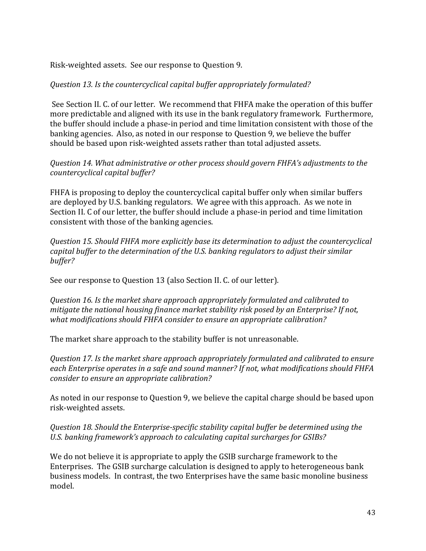Risk-weighted assets. See our response to Question 9.

# *Question 13. Is the countercyclical capital buffer appropriately formulated?*

See Section II. C. of our letter. We recommend that FHFA make the operation of this buffer more predictable and aligned with its use in the bank regulatory framework. Furthermore, the buffer should include a phase-in period and time limitation consistent with those of the banking agencies. Also, as noted in our response to Question 9, we believe the buffer should be based upon risk-weighted assets rather than total adjusted assets.

### *Question 14. What administrative or other process should govern FHFA's adjustments to the countercyclical capital buffer?*

FHFA is proposing to deploy the countercyclical capital buffer only when similar buffers are deployed by U.S. banking regulators. We agree with this approach. As we note in Section II. C of our letter, the buffer should include a phase-in period and time limitation consistent with those of the banking agencies.

*Question 15. Should FHFA more explicitly base its determination to adjust the countercyclical capital buffer to the determination of the U.S. banking regulators to adjust their similar buffer?*

See our response to Question 13 (also Section II. C. of our letter).

*Question 16. Is the market share approach appropriately formulated and calibrated to mitigate the national housing finance market stability risk posed by an Enterprise? If not, what modifications should FHFA consider to ensure an appropriate calibration?*

The market share approach to the stability buffer is not unreasonable.

*Question 17. Is the market share approach appropriately formulated and calibrated to ensure each Enterprise operates in a safe and sound manner? If not, what modifications should FHFA consider to ensure an appropriate calibration?*

As noted in our response to Question 9, we believe the capital charge should be based upon risk-weighted assets.

*Question 18. Should the Enterprise-specific stability capital buffer be determined using the U.S. banking framework's approach to calculating capital surcharges for GSIBs?*

We do not believe it is appropriate to apply the GSIB surcharge framework to the Enterprises. The GSIB surcharge calculation is designed to apply to heterogeneous bank business models. In contrast, the two Enterprises have the same basic monoline business model.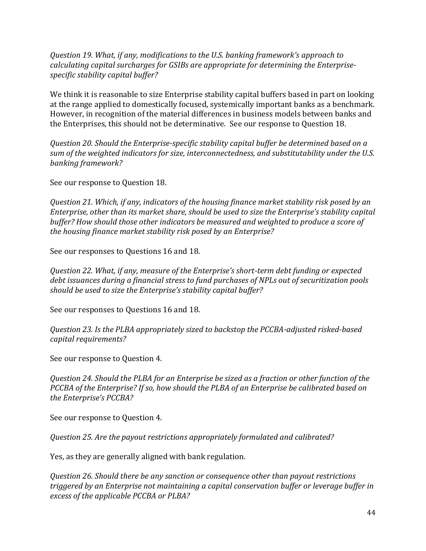*Question 19. What, if any, modifications to the U.S. banking framework's approach to calculating capital surcharges for GSIBs are appropriate for determining the Enterprisespecific stability capital buffer?*

We think it is reasonable to size Enterprise stability capital buffers based in part on looking at the range applied to domestically focused, systemically important banks as a benchmark. However, in recognition of the material differences in business models between banks and the Enterprises, this should not be determinative. See our response to Question 18.

*Question 20. Should the Enterprise-specific stability capital buffer be determined based on a sum of the weighted indicators for size, interconnectedness, and substitutability under the U.S. banking framework?*

See our response to Question 18.

*Question 21. Which, if any, indicators of the housing finance market stability risk posed by an Enterprise, other than its market share, should be used to size the Enterprise's stability capital buffer? How should those other indicators be measured and weighted to produce a score of the housing finance market stability risk posed by an Enterprise?*

See our responses to Questions 16 and 18.

*Question 22. What, if any, measure of the Enterprise's short-term debt funding or expected debt issuances during a financial stress to fund purchases of NPLs out of securitization pools should be used to size the Enterprise's stability capital buffer?*

See our responses to Questions 16 and 18.

*Question 23. Is the PLBA appropriately sized to backstop the PCCBA-adjusted risked-based capital requirements?*

See our response to Question 4.

*Question 24. Should the PLBA for an Enterprise be sized as a fraction or other function of the PCCBA of the Enterprise? If so, how should the PLBA of an Enterprise be calibrated based on the Enterprise's PCCBA?*

See our response to Question 4.

*Question 25. Are the payout restrictions appropriately formulated and calibrated?*

Yes, as they are generally aligned with bank regulation.

*Question 26. Should there be any sanction or consequence other than payout restrictions triggered by an Enterprise not maintaining a capital conservation buffer or leverage buffer in excess of the applicable PCCBA or PLBA?*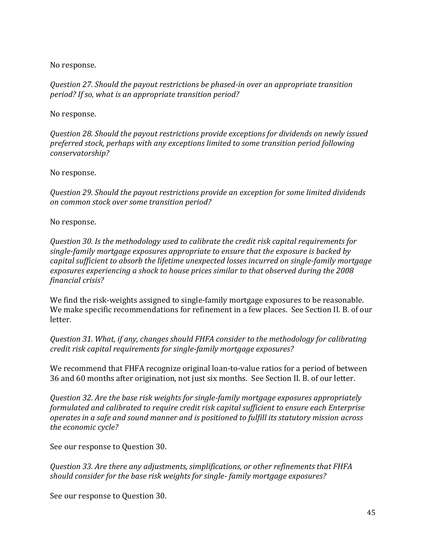No response.

*Question 27. Should the payout restrictions be phased-in over an appropriate transition period? If so, what is an appropriate transition period?*

No response.

*Question 28. Should the payout restrictions provide exceptions for dividends on newly issued preferred stock, perhaps with any exceptions limited to some transition period following conservatorship?*

No response.

*Question 29. Should the payout restrictions provide an exception for some limited dividends on common stock over some transition period?*

No response.

*Question 30. Is the methodology used to calibrate the credit risk capital requirements for single-family mortgage exposures appropriate to ensure that the exposure is backed by capital sufficient to absorb the lifetime unexpected losses incurred on single-family mortgage exposures experiencing a shock to house prices similar to that observed during the 2008 financial crisis?*

We find the risk-weights assigned to single-family mortgage exposures to be reasonable. We make specific recommendations for refinement in a few places. See Section II. B. of our letter.

*Question 31. What, if any, changes should FHFA consider to the methodology for calibrating credit risk capital requirements for single-family mortgage exposures?*

We recommend that FHFA recognize original loan-to-value ratios for a period of between 36 and 60 months after origination, not just six months. See Section II. B. of our letter.

*Question 32. Are the base risk weights for single-family mortgage exposures appropriately formulated and calibrated to require credit risk capital sufficient to ensure each Enterprise operates in a safe and sound manner and is positioned to fulfill its statutory mission across the economic cycle?*

See our response to Question 30.

*Question 33. Are there any adjustments, simplifications, or other refinements that FHFA should consider for the base risk weights for single- family mortgage exposures?*

See our response to Question 30.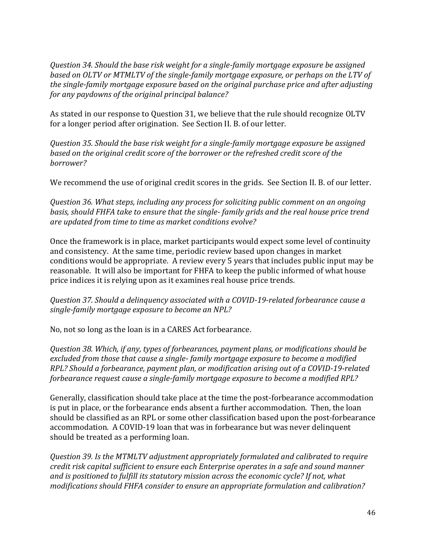*Question 34. Should the base risk weight for a single-family mortgage exposure be assigned based on OLTV or MTMLTV of the single-family mortgage exposure, or perhaps on the LTV of the single-family mortgage exposure based on the original purchase price and after adjusting for any paydowns of the original principal balance?*

As stated in our response to Question 31, we believe that the rule should recognize OLTV for a longer period after origination. See Section II. B. of our letter.

*Question 35. Should the base risk weight for a single-family mortgage exposure be assigned based on the original credit score of the borrower or the refreshed credit score of the borrower?*

We recommend the use of original credit scores in the grids. See Section II. B. of our letter.

*Question 36. What steps, including any process for soliciting public comment on an ongoing basis, should FHFA take to ensure that the single- family grids and the real house price trend are updated from time to time as market conditions evolve?*

Once the framework is in place, market participants would expect some level of continuity and consistency. At the same time, periodic review based upon changes in market conditions would be appropriate. A review every 5 years that includes public input may be reasonable. It will also be important for FHFA to keep the public informed of what house price indices it is relying upon as it examines real house price trends.

*Question 37. Should a delinquency associated with a COVID-19-related forbearance cause a single-family mortgage exposure to become an NPL?*

No, not so long as the loan is in a CARES Act forbearance.

*Question 38. Which, if any, types of forbearances, payment plans, or modifications should be excluded from those that cause a single- family mortgage exposure to become a modified RPL? Should a forbearance, payment plan, or modification arising out of a COVID-19-related forbearance request cause a single-family mortgage exposure to become a modified RPL?*

Generally, classification should take place at the time the post-forbearance accommodation is put in place, or the forbearance ends absent a further accommodation. Then, the loan should be classified as an RPL or some other classification based upon the post-forbearance accommodation. A COVID-19 loan that was in forbearance but was never delinquent should be treated as a performing loan.

*Question 39. Is the MTMLTV adjustment appropriately formulated and calibrated to require credit risk capital sufficient to ensure each Enterprise operates in a safe and sound manner and is positioned to fulfill its statutory mission across the economic cycle? If not, what modifications should FHFA consider to ensure an appropriate formulation and calibration?*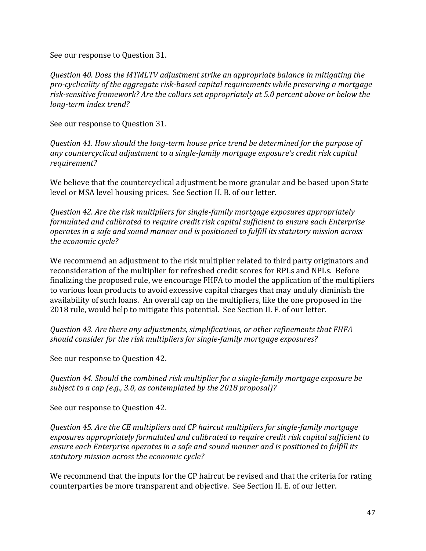See our response to Question 31.

*Question 40. Does the MTMLTV adjustment strike an appropriate balance in mitigating the pro-cyclicality of the aggregate risk-based capital requirements while preserving a mortgage risk-sensitive framework? Are the collars set appropriately at 5.0 percent above or below the long-term index trend?*

See our response to Question 31.

*Question 41. How should the long-term house price trend be determined for the purpose of any countercyclical adjustment to a single-family mortgage exposure's credit risk capital requirement?*

We believe that the countercyclical adjustment be more granular and be based upon State level or MSA level housing prices. See Section II. B. of our letter.

*Question 42. Are the risk multipliers for single-family mortgage exposures appropriately formulated and calibrated to require credit risk capital sufficient to ensure each Enterprise operates in a safe and sound manner and is positioned to fulfill its statutory mission across the economic cycle?*

We recommend an adjustment to the risk multiplier related to third party originators and reconsideration of the multiplier for refreshed credit scores for RPLs and NPLs. Before finalizing the proposed rule, we encourage FHFA to model the application of the multipliers to various loan products to avoid excessive capital charges that may unduly diminish the availability of such loans. An overall cap on the multipliers, like the one proposed in the 2018 rule, would help to mitigate this potential. See Section II. F. of our letter.

*Question 43. Are there any adjustments, simplifications, or other refinements that FHFA should consider for the risk multipliers for single-family mortgage exposures?* 

See our response to Question 42.

*Question 44. Should the combined risk multiplier for a single-family mortgage exposure be subject to a cap (e.g., 3.0, as contemplated by the 2018 proposal)?*

See our response to Question 42.

*Question 45. Are the CE multipliers and CP haircut multipliers for single-family mortgage exposures appropriately formulated and calibrated to require credit risk capital sufficient to ensure each Enterprise operates in a safe and sound manner and is positioned to fulfill its statutory mission across the economic cycle?*

We recommend that the inputs for the CP haircut be revised and that the criteria for rating counterparties be more transparent and objective. See Section II. E. of our letter.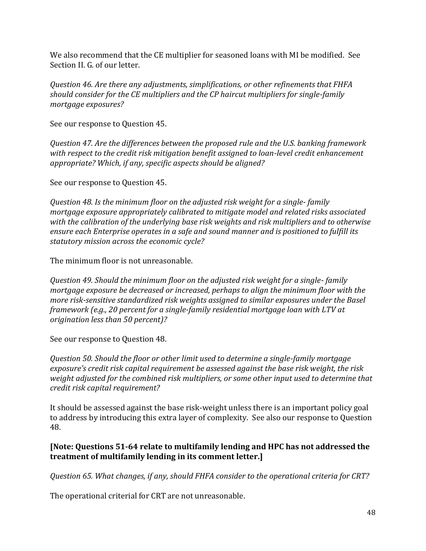We also recommend that the CE multiplier for seasoned loans with MI be modified. See Section II. G. of our letter.

*Question 46. Are there any adjustments, simplifications, or other refinements that FHFA should consider for the CE multipliers and the CP haircut multipliers for single-family mortgage exposures?*

See our response to Question 45.

*Question 47. Are the differences between the proposed rule and the U.S. banking framework with respect to the credit risk mitigation benefit assigned to loan-level credit enhancement appropriate? Which, if any, specific aspects should be aligned?*

See our response to Question 45.

*Question 48. Is the minimum floor on the adjusted risk weight for a single- family mortgage exposure appropriately calibrated to mitigate model and related risks associated with the calibration of the underlying base risk weights and risk multipliers and to otherwise ensure each Enterprise operates in a safe and sound manner and is positioned to fulfill its statutory mission across the economic cycle?*

The minimum floor is not unreasonable.

*Question 49. Should the minimum floor on the adjusted risk weight for a single- family mortgage exposure be decreased or increased, perhaps to align the minimum floor with the more risk-sensitive standardized risk weights assigned to similar exposures under the Basel framework (e.g., 20 percent for a single-family residential mortgage loan with LTV at origination less than 50 percent)?*

See our response to Question 48.

*Question 50. Should the floor or other limit used to determine a single-family mortgage exposure's credit risk capital requirement be assessed against the base risk weight, the risk weight adjusted for the combined risk multipliers, or some other input used to determine that credit risk capital requirement?*

It should be assessed against the base risk-weight unless there is an important policy goal to address by introducing this extra layer of complexity. See also our response to Question 48.

### **[Note: Questions 51-64 relate to multifamily lending and HPC has not addressed the treatment of multifamily lending in its comment letter.]**

*Question 65. What changes, if any, should FHFA consider to the operational criteria for CRT?*

The operational criterial for CRT are not unreasonable.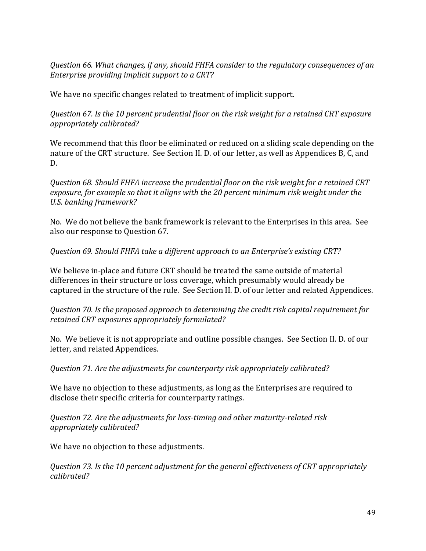*Question 66. What changes, if any, should FHFA consider to the regulatory consequences of an Enterprise providing implicit support to a CRT?*

We have no specific changes related to treatment of implicit support.

*Question 67. Is the 10 percent prudential floor on the risk weight for a retained CRT exposure appropriately calibrated?*

We recommend that this floor be eliminated or reduced on a sliding scale depending on the nature of the CRT structure. See Section II. D. of our letter, as well as Appendices B, C, and D.

*Question 68. Should FHFA increase the prudential floor on the risk weight for a retained CRT exposure, for example so that it aligns with the 20 percent minimum risk weight under the U.S. banking framework?*

No. We do not believe the bank framework is relevant to the Enterprises in this area. See also our response to Question 67.

*Question 69. Should FHFA take a different approach to an Enterprise's existing CRT?*

We believe in-place and future CRT should be treated the same outside of material differences in their structure or loss coverage, which presumably would already be captured in the structure of the rule. See Section II. D. of our letter and related Appendices.

*Question 70. Is the proposed approach to determining the credit risk capital requirement for retained CRT exposures appropriately formulated?*

No. We believe it is not appropriate and outline possible changes. See Section II. D. of our letter, and related Appendices.

*Question 71. Are the adjustments for counterparty risk appropriately calibrated?*

We have no objection to these adjustments, as long as the Enterprises are required to disclose their specific criteria for counterparty ratings.

*Question 72. Are the adjustments for loss-timing and other maturity-related risk appropriately calibrated?*

We have no objection to these adjustments.

*Question 73. Is the 10 percent adjustment for the general effectiveness of CRT appropriately calibrated?*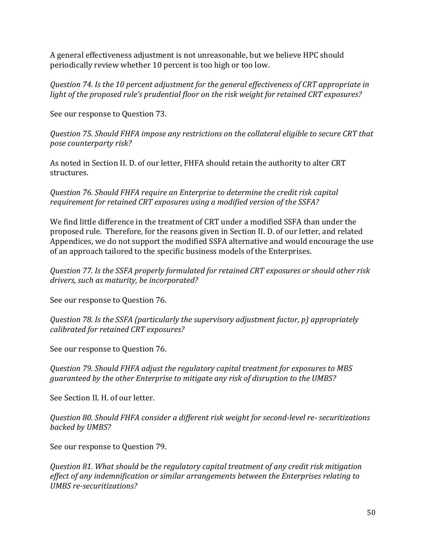A general effectiveness adjustment is not unreasonable, but we believe HPC should periodically review whether 10 percent is too high or too low.

*Question 74. Is the 10 percent adjustment for the general effectiveness of CRT appropriate in light of the proposed rule's prudential floor on the risk weight for retained CRT exposures?*

See our response to Question 73.

*Question 75. Should FHFA impose any restrictions on the collateral eligible to secure CRT that pose counterparty risk?*

As noted in Section II. D. of our letter, FHFA should retain the authority to alter CRT structures.

*Question 76. Should FHFA require an Enterprise to determine the credit risk capital requirement for retained CRT exposures using a modified version of the SSFA?*

We find little difference in the treatment of CRT under a modified SSFA than under the proposed rule. Therefore, for the reasons given in Section II. D. of our letter, and related Appendices, we do not support the modified SSFA alternative and would encourage the use of an approach tailored to the specific business models of the Enterprises.

*Question 77. Is the SSFA properly formulated for retained CRT exposures or should other risk drivers, such as maturity, be incorporated?*

See our response to Question 76.

*Question 78. Is the SSFA (particularly the supervisory adjustment factor, p) appropriately calibrated for retained CRT exposures?*

See our response to Question 76.

*Question 79. Should FHFA adjust the regulatory capital treatment for exposures to MBS guaranteed by the other Enterprise to mitigate any risk of disruption to the UMBS?*

See Section II. H. of our letter.

*Question 80. Should FHFA consider a different risk weight for second-level re- securitizations backed by UMBS?*

See our response to Question 79.

*Question 81. What should be the regulatory capital treatment of any credit risk mitigation effect of any indemnification or similar arrangements between the Enterprises relating to UMBS re-securitizations?*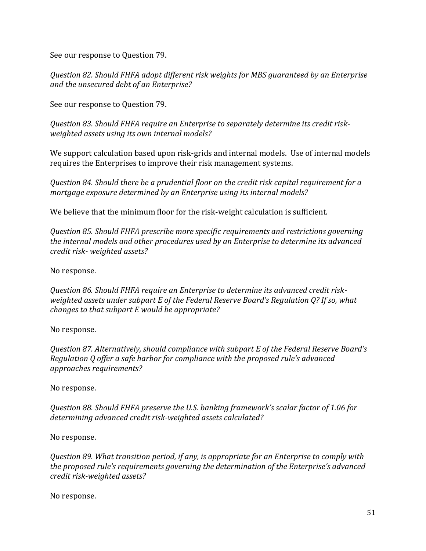See our response to Question 79.

*Question 82. Should FHFA adopt different risk weights for MBS guaranteed by an Enterprise and the unsecured debt of an Enterprise?*

See our response to Question 79.

*Question 83. Should FHFA require an Enterprise to separately determine its credit riskweighted assets using its own internal models?*

We support calculation based upon risk-grids and internal models. Use of internal models requires the Enterprises to improve their risk management systems.

*Question 84. Should there be a prudential floor on the credit risk capital requirement for a mortgage exposure determined by an Enterprise using its internal models?*

We believe that the minimum floor for the risk-weight calculation is sufficient.

*Question 85. Should FHFA prescribe more specific requirements and restrictions governing the internal models and other procedures used by an Enterprise to determine its advanced credit risk- weighted assets?*

No response.

*Question 86. Should FHFA require an Enterprise to determine its advanced credit riskweighted assets under subpart E of the Federal Reserve Board's Regulation Q? If so, what changes to that subpart E would be appropriate?*

No response.

*Question 87. Alternatively, should compliance with subpart E of the Federal Reserve Board's Regulation Q offer a safe harbor for compliance with the proposed rule's advanced approaches requirements?*

No response.

*Question 88. Should FHFA preserve the U.S. banking framework's scalar factor of 1.06 for determining advanced credit risk-weighted assets calculated?*

No response.

*Question 89. What transition period, if any, is appropriate for an Enterprise to comply with the proposed rule's requirements governing the determination of the Enterprise's advanced credit risk-weighted assets?*

No response.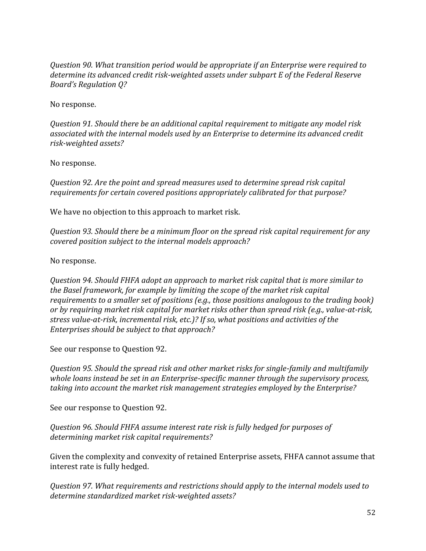*Question 90. What transition period would be appropriate if an Enterprise were required to determine its advanced credit risk-weighted assets under subpart E of the Federal Reserve Board's Regulation Q?*

No response.

*Question 91. Should there be an additional capital requirement to mitigate any model risk associated with the internal models used by an Enterprise to determine its advanced credit risk-weighted assets?*

No response.

*Question 92. Are the point and spread measures used to determine spread risk capital requirements for certain covered positions appropriately calibrated for that purpose?*

We have no objection to this approach to market risk.

*Question 93. Should there be a minimum floor on the spread risk capital requirement for any covered position subject to the internal models approach?*

No response.

*Question 94. Should FHFA adopt an approach to market risk capital that is more similar to the Basel framework, for example by limiting the scope of the market risk capital requirements to a smaller set of positions (e.g., those positions analogous to the trading book) or by requiring market risk capital for market risks other than spread risk (e.g., value-at-risk, stress value-at-risk, incremental risk, etc.)? If so, what positions and activities of the Enterprises should be subject to that approach?*

See our response to Question 92.

*Question 95. Should the spread risk and other market risks for single-family and multifamily whole loans instead be set in an Enterprise-specific manner through the supervisory process, taking into account the market risk management strategies employed by the Enterprise?*

See our response to Question 92.

*Question 96. Should FHFA assume interest rate risk is fully hedged for purposes of determining market risk capital requirements?*

Given the complexity and convexity of retained Enterprise assets, FHFA cannot assume that interest rate is fully hedged.

*Question 97. What requirements and restrictions should apply to the internal models used to determine standardized market risk-weighted assets?*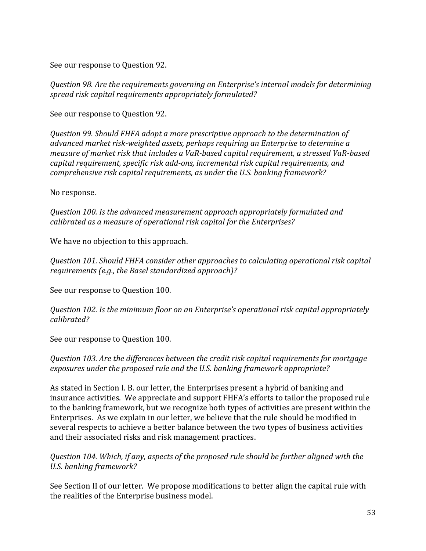See our response to Question 92.

*Question 98. Are the requirements governing an Enterprise's internal models for determining spread risk capital requirements appropriately formulated?*

See our response to Question 92.

*Question 99. Should FHFA adopt a more prescriptive approach to the determination of advanced market risk-weighted assets, perhaps requiring an Enterprise to determine a measure of market risk that includes a VaR-based capital requirement, a stressed VaR-based capital requirement, specific risk add-ons, incremental risk capital requirements, and comprehensive risk capital requirements, as under the U.S. banking framework?*

No response.

*Question 100. Is the advanced measurement approach appropriately formulated and calibrated as a measure of operational risk capital for the Enterprises?*

We have no objection to this approach.

*Question 101. Should FHFA consider other approaches to calculating operational risk capital requirements (e.g., the Basel standardized approach)?*

See our response to Question 100.

*Question 102. Is the minimum floor on an Enterprise's operational risk capital appropriately calibrated?*

See our response to Question 100.

### *Question 103. Are the differences between the credit risk capital requirements for mortgage exposures under the proposed rule and the U.S. banking framework appropriate?*

As stated in Section I. B. our letter, the Enterprises present a hybrid of banking and insurance activities. We appreciate and support FHFA's efforts to tailor the proposed rule to the banking framework, but we recognize both types of activities are present within the Enterprises. As we explain in our letter, we believe that the rule should be modified in several respects to achieve a better balance between the two types of business activities and their associated risks and risk management practices.

*Question 104. Which, if any, aspects of the proposed rule should be further aligned with the U.S. banking framework?*

See Section II of our letter. We propose modifications to better align the capital rule with the realities of the Enterprise business model.